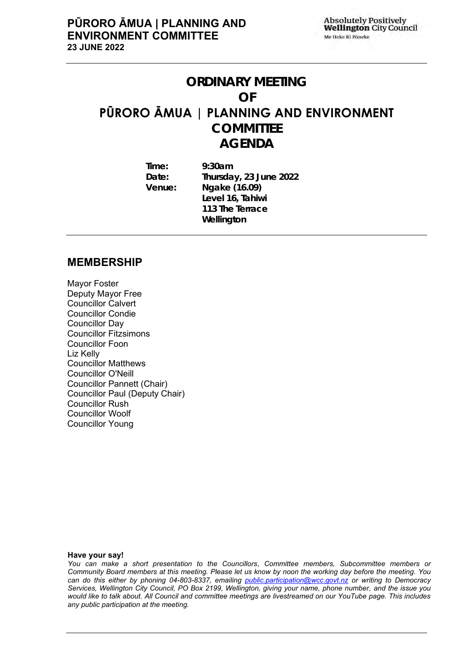## **ORDINARY MEETING**

#### **OF**

## **PŪRORO ĀMUA | PLANNING AND ENVIRONMENT**

**COMMITTEE AGENDA**

**Time: 9:30am Date: Thursday, 23 June 2022 Venue: Ngake (16.09) Level 16, Tahiwi 113 The Terrace Wellington**

## **MEMBERSHIP**

Mayor Foster Deputy Mayor Free Councillor Calvert Councillor Condie Councillor Day Councillor Fitzsimons Councillor Foon Liz Kelly Councillor Matthews Councillor O'Neill Councillor Pannett (Chair) Councillor Paul (Deputy Chair) Councillor Rush Councillor Woolf Councillor Young

#### **Have your say!**

*You can make a short presentation to the Councillors, Committee members, Subcommittee members or Community Board members at this meeting. Please let us know by noon the working day before the meeting. You can do this either by phoning 04-803-8337, emailing public.participation@wcc.govt.nz or writing to Democracy Services, Wellington City Council, PO Box 2199, Wellington, giving your name, phone number, and the issue you would like to talk about. All Council and committee meetings are livestreamed on our YouTube page. This includes any public participation at the meeting.*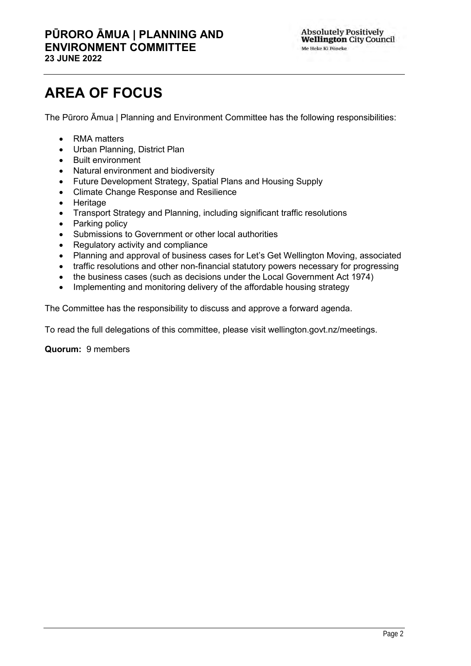# **AREA OF FOCUS**

The Pūroro Āmua | Planning and Environment Committee has the following responsibilities:

- RMA matters
- Urban Planning, District Plan
- Built environment
- Natural environment and biodiversity
- Future Development Strategy, Spatial Plans and Housing Supply
- Climate Change Response and Resilience
- Heritage
- Transport Strategy and Planning, including significant traffic resolutions
- Parking policy
- Submissions to Government or other local authorities
- Regulatory activity and compliance
- Planning and approval of business cases for Let's Get Wellington Moving, associated
- traffic resolutions and other non-financial statutory powers necessary for progressing
- the business cases (such as decisions under the Local Government Act 1974)
- Implementing and monitoring delivery of the affordable housing strategy

The Committee has the responsibility to discuss and approve a forward agenda.

To read the full delegations of this committee, please visit wellington.govt.nz/meetings.

## **Quorum:** 9 members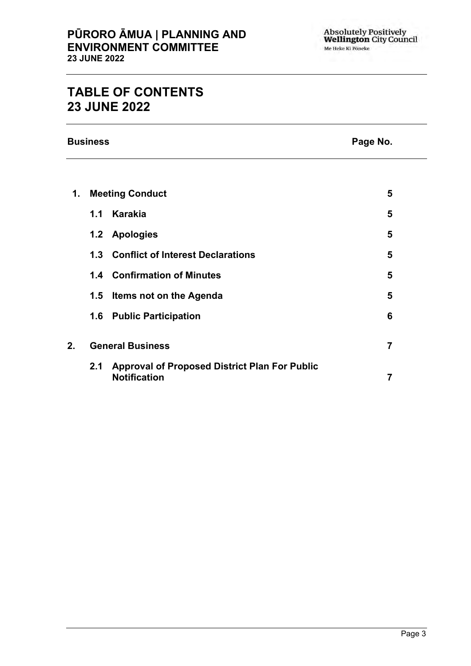## **TABLE OF CONTENTS 23 JUNE 2022**

**Business Page No.**

| 1. |     | <b>Meeting Conduct</b>                                                      | 5 |
|----|-----|-----------------------------------------------------------------------------|---|
|    | 1.1 | Karakia                                                                     | 5 |
|    | 1.2 | <b>Apologies</b>                                                            | 5 |
|    |     | 1.3 Conflict of Interest Declarations                                       | 5 |
|    |     | 1.4 Confirmation of Minutes                                                 | 5 |
|    | 1.5 | Items not on the Agenda                                                     | 5 |
|    |     | 1.6 Public Participation                                                    | 6 |
| 2. |     | <b>General Business</b>                                                     | 7 |
|    | 2.1 | <b>Approval of Proposed District Plan For Public</b><br><b>Notification</b> | 7 |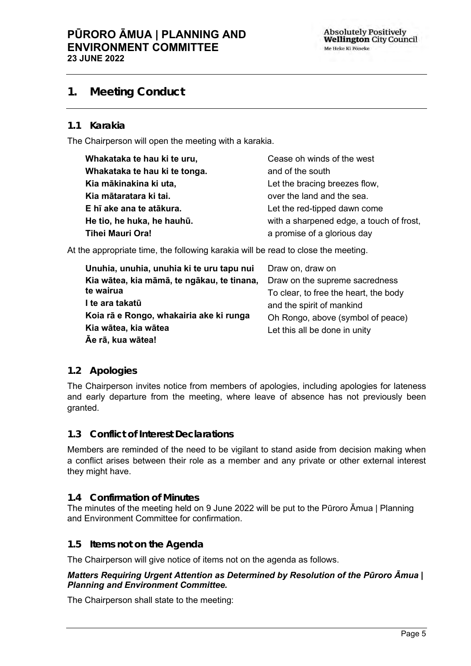## <span id="page-4-0"></span>**1. Meeting Conduct**

## **1.1 Karakia**

The Chairperson will open the meeting with a karakia.

| Whakataka te hau ki te uru,   | Cease oh winds of the west               |
|-------------------------------|------------------------------------------|
| Whakataka te hau ki te tonga. | and of the south                         |
| Kia mākinakina ki uta,        | Let the bracing breezes flow,            |
| Kia mātaratara ki tai.        | over the land and the sea.               |
| E hī ake ana te atākura.      | Let the red-tipped dawn come             |
| He tio, he huka, he hauhū.    | with a sharpened edge, a touch of frost, |
| <b>Tihei Mauri Ora!</b>       | a promise of a glorious day              |

At the appropriate time, the following karakia will be read to close the meeting.

| Unuhia, unuhia, unuhia ki te uru tapu nui  | Draw on, draw on                      |
|--------------------------------------------|---------------------------------------|
| Kia wātea, kia māmā, te ngākau, te tinana, | Draw on the supreme sacredness        |
| te wairua                                  | To clear, to free the heart, the body |
| I te ara takatū                            | and the spirit of mankind             |
| Koia rā e Rongo, whakairia ake ki runga    | Oh Rongo, above (symbol of peace)     |
| Kia wātea, kia wātea                       | Let this all be done in unity         |
| Āe rā, kua wātea!                          |                                       |

## <span id="page-4-1"></span>**1.2 Apologies**

The Chairperson invites notice from members of apologies, including apologies for lateness and early departure from the meeting, where leave of absence has not previously been granted.

## <span id="page-4-2"></span>**1.3 Conflict of Interest Declarations**

Members are reminded of the need to be vigilant to stand aside from decision making when a conflict arises between their role as a member and any private or other external interest they might have.

## <span id="page-4-3"></span>**1.4 Confirmation of Minutes**

The minutes of the meeting held on 9 June 2022 will be put to the Pūroro Āmua | Planning and Environment Committee for confirmation.

## <span id="page-4-4"></span>**1.5 Items not on the Agenda**

The Chairperson will give notice of items not on the agenda as follows.

## *Matters Requiring Urgent Attention as Determined by Resolution of the Pūroro Āmua | Planning and Environment Committee.*

The Chairperson shall state to the meeting: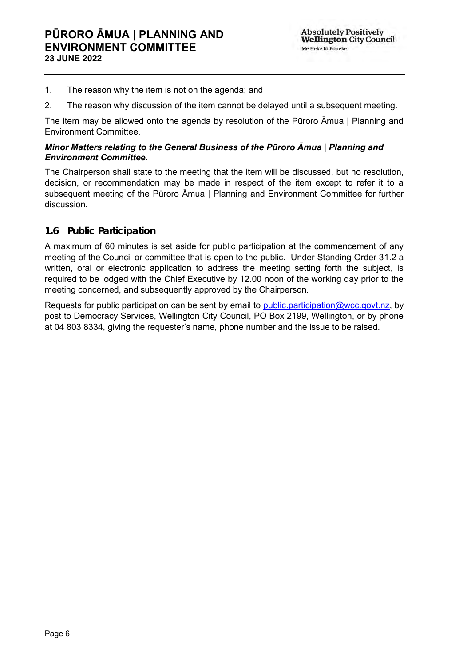- 1. The reason why the item is not on the agenda; and
- 2. The reason why discussion of the item cannot be delayed until a subsequent meeting.

The item may be allowed onto the agenda by resolution of the Pūroro Āmua | Planning and Environment Committee.

## *Minor Matters relating to the General Business of the Pūroro Āmua | Planning and Environment Committee.*

The Chairperson shall state to the meeting that the item will be discussed, but no resolution, decision, or recommendation may be made in respect of the item except to refer it to a subsequent meeting of the Pūroro Āmua | Planning and Environment Committee for further discussion.

## <span id="page-5-0"></span>**1.6 Public Participation**

A maximum of 60 minutes is set aside for public participation at the commencement of any meeting of the Council or committee that is open to the public. Under Standing Order 31.2 a written, oral or electronic application to address the meeting setting forth the subject, is required to be lodged with the Chief Executive by 12.00 noon of the working day prior to the meeting concerned, and subsequently approved by the Chairperson.

Requests for public participation can be sent by email to *public.participation@wcc.govt.nz*, by post to Democracy Services, Wellington City Council, PO Box 2199, Wellington, or by phone at 04 803 8334, giving the requester's name, phone number and the issue to be raised.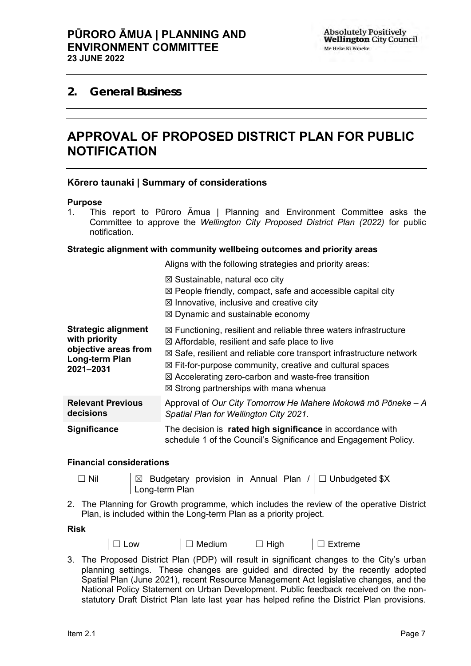## <span id="page-6-1"></span><span id="page-6-0"></span>**2. General Business**

## **APPROVAL OF PROPOSED DISTRICT PLAN FOR PUBLIC NOTIFICATION**

## **Kōrero taunaki | Summary of considerations**

#### **Purpose**

1. This report to Pūroro Āmua | Planning and Environment Committee asks the Committee to approve the *Wellington City Proposed District Plan (2022)* for public notification.

#### **Strategic alignment with community wellbeing outcomes and priority areas**

Aligns with the following strategies and priority areas:

|                                                                                                    | $\boxtimes$ Sustainable, natural eco city<br>$\boxtimes$ People friendly, compact, safe and accessible capital city<br>$\boxtimes$ Innovative, inclusive and creative city<br>$\boxtimes$ Dynamic and sustainable economy                                                                                                                                                                                              |
|----------------------------------------------------------------------------------------------------|------------------------------------------------------------------------------------------------------------------------------------------------------------------------------------------------------------------------------------------------------------------------------------------------------------------------------------------------------------------------------------------------------------------------|
| <b>Strategic alignment</b><br>with priority<br>objective areas from<br>Long-term Plan<br>2021-2031 | $\boxtimes$ Functioning, resilient and reliable three waters infrastructure<br>$\boxtimes$ Affordable, resilient and safe place to live<br>$\boxtimes$ Safe, resilient and reliable core transport infrastructure network<br>$\boxtimes$ Fit-for-purpose community, creative and cultural spaces<br>$\boxtimes$ Accelerating zero-carbon and waste-free transition<br>$\boxtimes$ Strong partnerships with mana whenua |
| <b>Relevant Previous</b><br>decisions                                                              | Approval of Our City Tomorrow He Mahere Mokowa mo Poneke - A<br>Spatial Plan for Wellington City 2021.                                                                                                                                                                                                                                                                                                                 |
| <b>Significance</b>                                                                                | The decision is rated high significance in accordance with<br>schedule 1 of the Council's Significance and Engagement Policy.                                                                                                                                                                                                                                                                                          |

#### **Financial considerations**

□ Nil  $\Box$  Budgetary provision in Annual Plan / | □ Unbudgeted \$X Long-term Plan

2. The Planning for Growth programme, which includes the review of the operative District Plan, is included within the Long-term Plan as a priority project.

#### **Risk**

- 
- │ □ Low │ □ Medium │ □ High │ □ Extreme

3. The Proposed District Plan (PDP) will result in significant changes to the City's urban planning settings. These changes are guided and directed by the recently adopted Spatial Plan (June 2021), recent Resource Management Act legislative changes, and the National Policy Statement on Urban Development. Public feedback received on the nonstatutory Draft District Plan late last year has helped refine the District Plan provisions.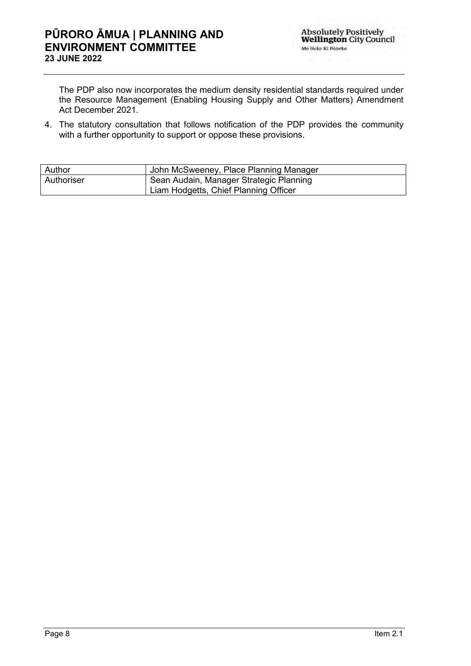The PDP also now incorporates the medium density residential standards required under the Resource Management (Enabling Housing Supply and Other Matters) Amendment Act December 2021.

4. The statutory consultation that follows notification of the PDP provides the community with a further opportunity to support or oppose these provisions.

| Author     | John McSweeney, Place Planning Manager  |  |
|------------|-----------------------------------------|--|
| Authoriser | Sean Audain, Manager Strategic Planning |  |
|            | Liam Hodgetts, Chief Planning Officer   |  |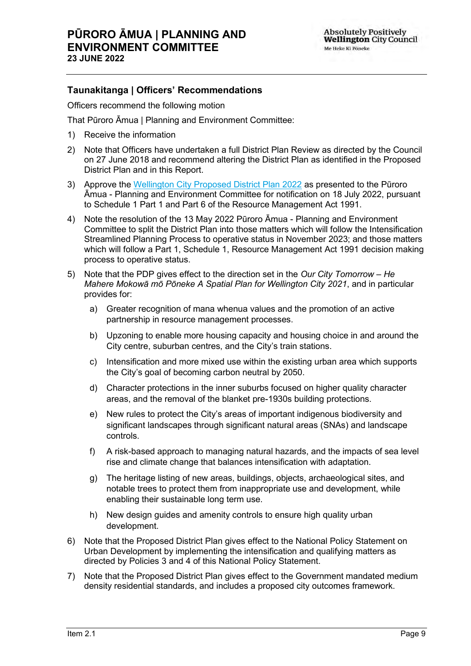## **Taunakitanga | Officers' Recommendations**

Officers recommend the following motion

That Pūroro Āmua | Planning and Environment Committee:

- 1) Receive the information
- 2) Note that Officers have undertaken a full District Plan Review as directed by the Council on 27 June 2018 and recommend altering the District Plan as identified in the Proposed District Plan and in this Report.
- 3) Approve the [Wellington City Proposed District Plan 2022](https://eplan.wellington.govt.nz/proposed/) as presented to the Pūroro Āmua - Planning and Environment Committee for notification on 18 July 2022, pursuant to Schedule 1 Part 1 and Part 6 of the Resource Management Act 1991.
- 4) Note the resolution of the 13 May 2022 Pūroro Āmua Planning and Environment Committee to split the District Plan into those matters which will follow the Intensification Streamlined Planning Process to operative status in November 2023; and those matters which will follow a Part 1, Schedule 1, Resource Management Act 1991 decision making process to operative status.
- 5) Note that the PDP gives effect to the direction set in the *[Our City Tomorrow –](https://experience.arcgis.com/experience/4da3420b9d7c4cc2a00f548ef5e881a1) He Mahere Mokowā mō Pōneke [A Spatial Plan for Wellington City 2021](https://experience.arcgis.com/experience/4da3420b9d7c4cc2a00f548ef5e881a1)*, and in particular provides for:
	- a) Greater recognition of mana whenua values and the promotion of an active partnership in resource management processes.
	- b) Upzoning to enable more housing capacity and housing choice in and around the City centre, suburban centres, and the City's train stations.
	- c) Intensification and more mixed use within the existing urban area which supports the City's goal of becoming carbon neutral by 2050.
	- d) Character protections in the inner suburbs focused on higher quality character areas, and the removal of the blanket pre-1930s building protections.
	- e) New rules to protect the City's areas of important indigenous biodiversity and significant landscapes through significant natural areas (SNAs) and landscape controls.
	- f) A risk-based approach to managing natural hazards, and the impacts of sea level rise and climate change that balances intensification with adaptation.
	- g) The heritage listing of new areas, buildings, objects, archaeological sites, and notable trees to protect them from inappropriate use and development, while enabling their sustainable long term use.
	- h) New design guides and amenity controls to ensure high quality urban development.
- 6) Note that the Proposed District Plan gives effect to the National Policy Statement on Urban Development by implementing the intensification and qualifying matters as directed by Policies 3 and 4 of this National Policy Statement.
- 7) Note that the Proposed District Plan gives effect to the Government mandated medium density residential standards, and includes a proposed city outcomes framework.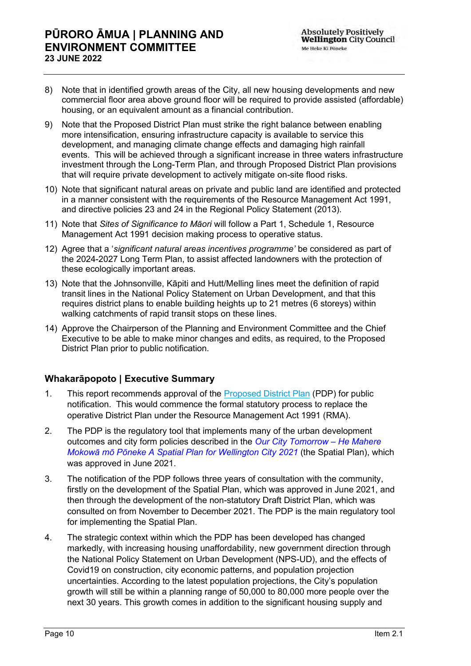- 8) Note that in identified growth areas of the City, all new housing developments and new commercial floor area above ground floor will be required to provide assisted (affordable) housing, or an equivalent amount as a financial contribution.
- 9) Note that the Proposed District Plan must strike the right balance between enabling more intensification, ensuring infrastructure capacity is available to service this development, and managing climate change effects and damaging high rainfall events. This will be achieved through a significant increase in three waters infrastructure investment through the Long-Term Plan, and through Proposed District Plan provisions that will require private development to actively mitigate on-site flood risks.
- 10) Note that significant natural areas on private and public land are identified and protected in a manner consistent with the requirements of the Resource Management Act 1991, and directive policies 23 and 24 in the Regional Policy Statement (2013).
- 11) Note that *Sites of Significance to Māori* will follow a Part 1, Schedule 1, Resource Management Act 1991 decision making process to operative status.
- 12) Agree that a '*significant natural areas incentives programme'* be considered as part of the 2024-2027 Long Term Plan, to assist affected landowners with the protection of these ecologically important areas.
- 13) Note that the Johnsonville, Kāpiti and Hutt/Melling lines meet the definition of rapid transit lines in the National Policy Statement on Urban Development, and that this requires district plans to enable building heights up to 21 metres (6 storeys) within walking catchments of rapid transit stops on these lines.
- 14) Approve the Chairperson of the Planning and Environment Committee and the Chief Executive to be able to make minor changes and edits, as required, to the Proposed District Plan prior to public notification.

## **Whakarāpopoto | Executive Summary**

- 1. This report recommends approval of the [Proposed District Plan](https://eplan.wellington.govt.nz/proposed/) (PDP) for public notification. This would commence the formal statutory process to replace the operative District Plan under the Resource Management Act 1991 (RMA).
- 2. The PDP is the regulatory tool that implements many of the urban development outcomes and city form policies described in the *[Our City Tomorrow –](https://experience.arcgis.com/experience/4da3420b9d7c4cc2a00f548ef5e881a1) He Mahere Mokowā mō Pōneke [A Spatial Plan for Wellington City 2021](https://experience.arcgis.com/experience/4da3420b9d7c4cc2a00f548ef5e881a1)* (the Spatial Plan), which was approved in June 2021.
- 3. The notification of the PDP follows three years of consultation with the community, firstly on the development of the Spatial Plan, which was approved in June 2021, and then through the development of the non-statutory Draft District Plan, which was consulted on from November to December 2021. The PDP is the main regulatory tool for implementing the Spatial Plan.
- 4. The strategic context within which the PDP has been developed has changed markedly, with increasing housing unaffordability, new government direction through the National Policy Statement on Urban Development (NPS-UD), and the effects of Covid19 on construction, city economic patterns, and population projection uncertainties. According to the latest population projections, the City's population growth will still be within a planning range of 50,000 to 80,000 more people over the next 30 years. This growth comes in addition to the significant housing supply and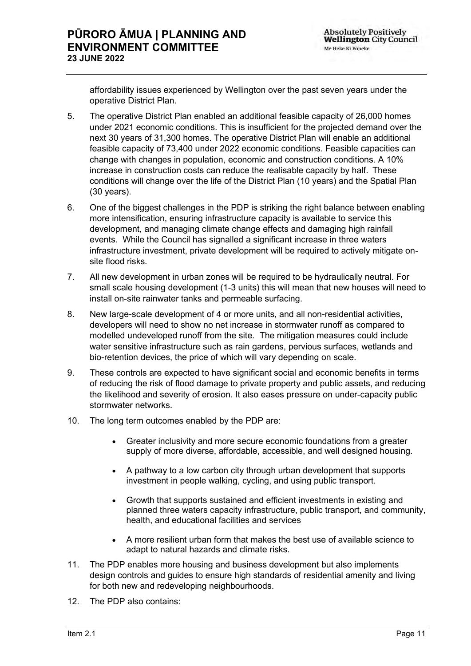affordability issues experienced by Wellington over the past seven years under the operative District Plan.

- 5. The operative District Plan enabled an additional feasible capacity of 26,000 homes under 2021 economic conditions. This is insufficient for the projected demand over the next 30 years of 31,300 homes. The operative District Plan will enable an additional feasible capacity of 73,400 under 2022 economic conditions. Feasible capacities can change with changes in population, economic and construction conditions. A 10% increase in construction costs can reduce the realisable capacity by half. These conditions will change over the life of the District Plan (10 years) and the Spatial Plan (30 years).
- 6. One of the biggest challenges in the PDP is striking the right balance between enabling more intensification, ensuring infrastructure capacity is available to service this development, and managing climate change effects and damaging high rainfall events. While the Council has signalled a significant increase in three waters infrastructure investment, private development will be required to actively mitigate onsite flood risks.
- 7. All new development in urban zones will be required to be hydraulically neutral. For small scale housing development (1-3 units) this will mean that new houses will need to install on-site rainwater tanks and permeable surfacing.
- 8. New large-scale development of 4 or more units, and all non-residential activities, developers will need to show no net increase in stormwater runoff as compared to modelled undeveloped runoff from the site. The mitigation measures could include water sensitive infrastructure such as rain gardens, pervious surfaces, wetlands and bio-retention devices, the price of which will vary depending on scale.
- 9. These controls are expected to have significant social and economic benefits in terms of reducing the risk of flood damage to private property and public assets, and reducing the likelihood and severity of erosion. It also eases pressure on under-capacity public stormwater networks.
- 10. The long term outcomes enabled by the PDP are:
	- Greater inclusivity and more secure economic foundations from a greater supply of more diverse, affordable, accessible, and well designed housing.
	- A pathway to a low carbon city through urban development that supports investment in people walking, cycling, and using public transport.
	- Growth that supports sustained and efficient investments in existing and planned three waters capacity infrastructure, public transport, and community, health, and educational facilities and services
	- A more resilient urban form that makes the best use of available science to adapt to natural hazards and climate risks.
- 11. The PDP enables more housing and business development but also implements design controls and guides to ensure high standards of residential amenity and living for both new and redeveloping neighbourhoods.
- 12. The PDP also contains: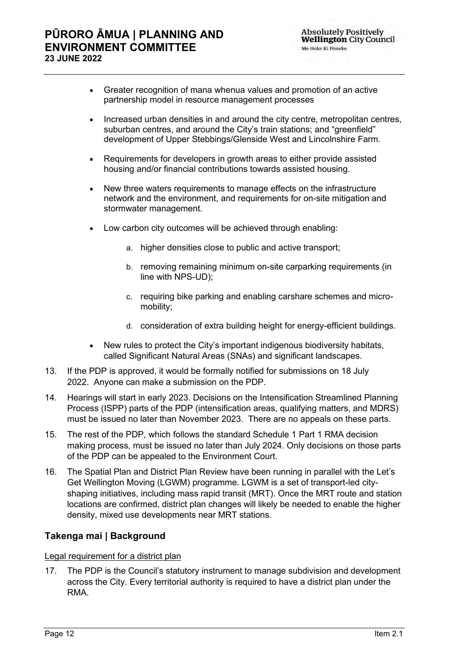- Greater recognition of mana whenua values and promotion of an active partnership model in resource management processes
- Increased urban densities in and around the city centre, metropolitan centres, suburban centres, and around the City's train stations; and "greenfield" development of Upper Stebbings/Glenside West and Lincolnshire Farm.
- Requirements for developers in growth areas to either provide assisted housing and/or financial contributions towards assisted housing.
- New three waters requirements to manage effects on the infrastructure network and the environment, and requirements for on-site mitigation and stormwater management.
- Low carbon city outcomes will be achieved through enabling:
	- a. higher densities close to public and active transport;
	- b. removing remaining minimum on-site carparking requirements (in line with NPS-UD);
	- c. requiring bike parking and enabling carshare schemes and micromobility;
	- d. consideration of extra building height for energy-efficient buildings.
- New rules to protect the City's important indigenous biodiversity habitats, called Significant Natural Areas (SNAs) and significant landscapes.
- 13. If the PDP is approved, it would be formally notified for submissions on 18 July 2022. Anyone can make a submission on the PDP.
- 14. Hearings will start in early 2023. Decisions on the Intensification Streamlined Planning Process (ISPP) parts of the PDP (intensification areas, qualifying matters, and MDRS) must be issued no later than November 2023. There are no appeals on these parts.
- 15. The rest of the PDP, which follows the standard Schedule 1 Part 1 RMA decision making process, must be issued no later than July 2024. Only decisions on those parts of the PDP can be appealed to the Environment Court.
- 16. The Spatial Plan and District Plan Review have been running in parallel with the Let's Get Wellington Moving (LGWM) programme. LGWM is a set of transport-led cityshaping initiatives, including mass rapid transit (MRT). Once the MRT route and station locations are confirmed, district plan changes will likely be needed to enable the higher density, mixed use developments near MRT stations.

## **Takenga mai | Background**

## Legal requirement for a district plan

17. The PDP is the Council's statutory instrument to manage subdivision and development across the City. Every territorial authority is required to have a district plan under the RMA.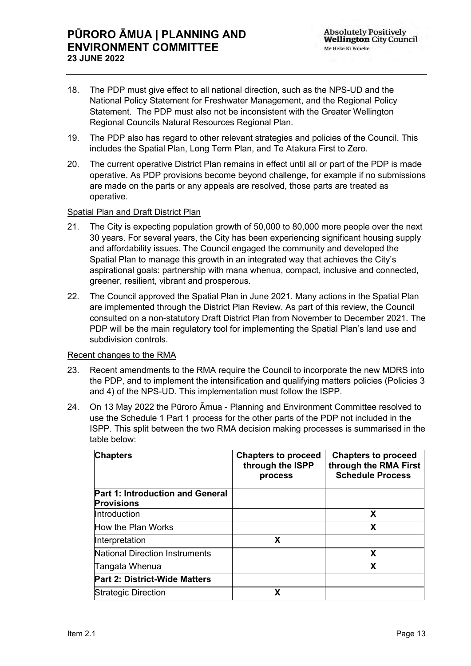- 18. The PDP must give effect to all national direction, such as the NPS-UD and the National Policy Statement for Freshwater Management, and the Regional Policy Statement. The PDP must also not be inconsistent with the Greater Wellington Regional Councils Natural Resources Regional Plan.
- 19. The PDP also has regard to other relevant strategies and policies of the Council. This includes the Spatial Plan, Long Term Plan, and Te Atakura First to Zero.
- 20. The current operative District Plan remains in effect until all or part of the PDP is made operative. As PDP provisions become beyond challenge, for example if no submissions are made on the parts or any appeals are resolved, those parts are treated as operative.

## Spatial Plan and Draft District Plan

- 21. The City is expecting population growth of 50,000 to 80,000 more people over the next 30 years. For several years, the City has been experiencing significant housing supply and affordability issues. The Council engaged the community and developed the Spatial Plan to manage this growth in an integrated way that achieves the City's aspirational goals: partnership with mana whenua, compact, inclusive and connected, greener, resilient, vibrant and prosperous.
- 22. The Council approved the Spatial Plan in June 2021. Many actions in the Spatial Plan are implemented through the District Plan Review. As part of this review, the Council consulted on a non-statutory Draft District Plan from November to December 2021. The PDP will be the main regulatory tool for implementing the Spatial Plan's land use and subdivision controls.

## Recent changes to the RMA

- 23. Recent amendments to the RMA require the Council to incorporate the new MDRS into the PDP, and to implement the intensification and qualifying matters policies (Policies 3 and 4) of the NPS-UD. This implementation must follow the ISPP.
- 24. On 13 May 2022 the Pūroro Āmua Planning and Environment Committee resolved to use the Schedule 1 Part 1 process for the other parts of the PDP not included in the ISPP. This split between the two RMA decision making processes is summarised in the table below:

| <b>Chapters</b>                                       | <b>Chapters to proceed</b><br>through the ISPP<br>process | <b>Chapters to proceed</b><br>through the RMA First<br><b>Schedule Process</b> |
|-------------------------------------------------------|-----------------------------------------------------------|--------------------------------------------------------------------------------|
| Part 1: Introduction and General<br><b>Provisions</b> |                                                           |                                                                                |
| Introduction                                          |                                                           | X                                                                              |
| How the Plan Works                                    |                                                           | X                                                                              |
| Interpretation                                        | X                                                         |                                                                                |
| <b>National Direction Instruments</b>                 |                                                           | X                                                                              |
| Tangata Whenua                                        |                                                           | X                                                                              |
| Part 2: District-Wide Matters                         |                                                           |                                                                                |
| <b>Strategic Direction</b>                            | x                                                         |                                                                                |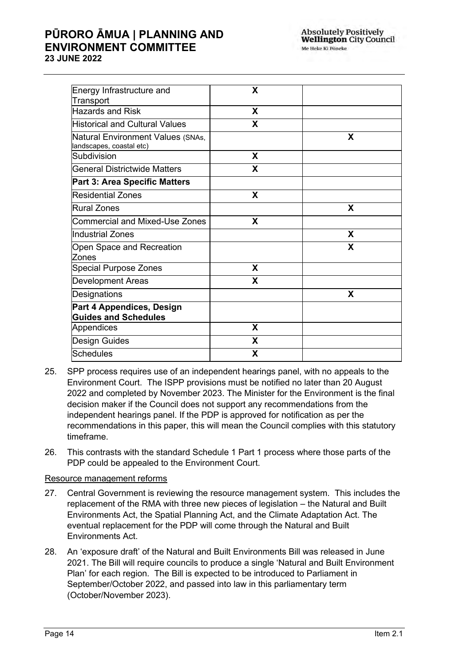## **PŪRORO ĀMUA | PLANNING AND ENVIRONMENT COMMITTEE 23 JUNE 2022**

| Energy Infrastructure and<br>Transport                        | X |   |
|---------------------------------------------------------------|---|---|
| <b>Hazards and Risk</b>                                       | X |   |
| <b>Historical and Cultural Values</b>                         | X |   |
| Natural Environment Values (SNAs,<br>landscapes, coastal etc) |   | X |
| Subdivision                                                   | X |   |
| <b>General Districtwide Matters</b>                           | X |   |
| <b>Part 3: Area Specific Matters</b>                          |   |   |
| <b>Residential Zones</b>                                      | X |   |
| <b>Rural Zones</b>                                            |   | X |
| Commercial and Mixed-Use Zones                                | X |   |
| Industrial Zones                                              |   | X |
| Open Space and Recreation<br>Zones                            |   | X |
| <b>Special Purpose Zones</b>                                  | X |   |
| <b>Development Areas</b>                                      | X |   |
| Designations                                                  |   | X |
| Part 4 Appendices, Design<br><b>Guides and Schedules</b>      |   |   |
| Appendices                                                    | X |   |
| <b>Design Guides</b>                                          | X |   |
| Schedules                                                     | X |   |

- 25. SPP process requires use of an independent hearings panel, with no appeals to the Environment Court. The ISPP provisions must be notified no later than 20 August 2022 and completed by November 2023. The Minister for the Environment is the final decision maker if the Council does not support any recommendations from the independent hearings panel. If the PDP is approved for notification as per the recommendations in this paper, this will mean the Council complies with this statutory timeframe.
- 26. This contrasts with the standard Schedule 1 Part 1 process where those parts of the PDP could be appealed to the Environment Court.

## Resource management reforms

- 27. Central Government is reviewing the resource management system. This includes the replacement of the RMA with three new pieces of legislation – the Natural and Built Environments Act, the Spatial Planning Act, and the Climate Adaptation Act. The eventual replacement for the PDP will come through the Natural and Built Environments Act.
- 28. An 'exposure draft' of the Natural and Built Environments Bill was released in June 2021. The Bill will require councils to produce a single 'Natural and Built Environment Plan' for each region. The Bill is expected to be introduced to Parliament in September/October 2022, and passed into law in this parliamentary term (October/November 2023).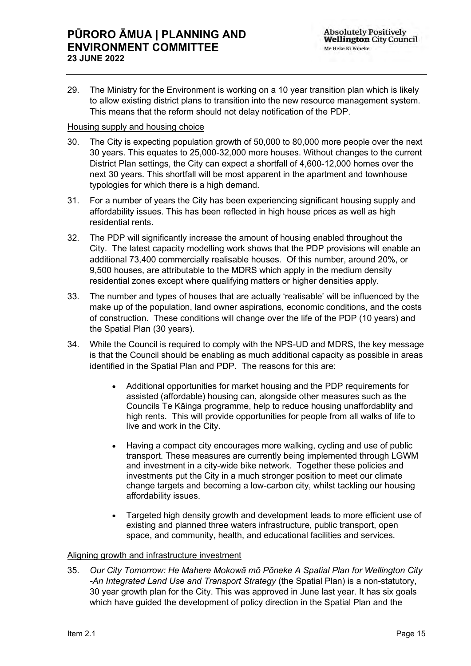29. The Ministry for the Environment is working on a 10 year transition plan which is likely to allow existing district plans to transition into the new resource management system. This means that the reform should not delay notification of the PDP.

## Housing supply and housing choice

- 30. The City is expecting population growth of 50,000 to 80,000 more people over the next 30 years. This equates to 25,000-32,000 more houses. Without changes to the current District Plan settings, the City can expect a shortfall of 4,600-12,000 homes over the next 30 years. This shortfall will be most apparent in the apartment and townhouse typologies for which there is a high demand.
- 31. For a number of years the City has been experiencing significant housing supply and affordability issues. This has been reflected in high house prices as well as high residential rents.
- 32. The PDP will significantly increase the amount of housing enabled throughout the City. The latest capacity modelling work shows that the PDP provisions will enable an additional 73,400 commercially realisable houses. Of this number, around 20%, or 9,500 houses, are attributable to the MDRS which apply in the medium density residential zones except where qualifying matters or higher densities apply.
- 33. The number and types of houses that are actually 'realisable' will be influenced by the make up of the population, land owner aspirations, economic conditions, and the costs of construction. These conditions will change over the life of the PDP (10 years) and the Spatial Plan (30 years).
- 34. While the Council is required to comply with the NPS-UD and MDRS, the key message is that the Council should be enabling as much additional capacity as possible in areas identified in the Spatial Plan and PDP. The reasons for this are:
	- Additional opportunities for market housing and the PDP requirements for assisted (affordable) housing can, alongside other measures such as the Councils Te Kāinga programme, help to reduce housing unaffordablity and high rents. This will provide opportunities for people from all walks of life to live and work in the City.
	- Having a compact city encourages more walking, cycling and use of public transport. These measures are currently being implemented through LGWM and investment in a city-wide bike network. Together these policies and investments put the City in a much stronger position to meet our climate change targets and becoming a low-carbon city, whilst tackling our housing affordability issues.
	- Targeted high density growth and development leads to more efficient use of existing and planned three waters infrastructure, public transport, open space, and community, health, and educational facilities and services.

## Aligning growth and infrastructure investment

35. *Our City Tomorrow: He Mahere Mokowā mō Pōneke A Spatial Plan for Wellington City -An Integrated Land Use and Transport Strategy* (the Spatial Plan) is a non-statutory, 30 year growth plan for the City. This was approved in June last year. It has six goals which have guided the development of policy direction in the Spatial Plan and the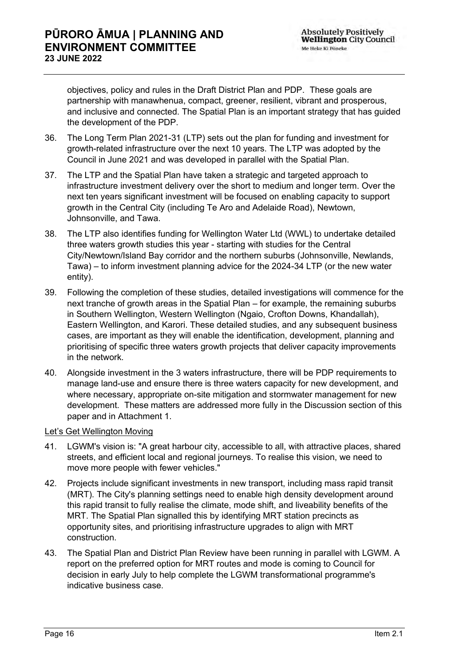objectives, policy and rules in the Draft District Plan and PDP. These goals are partnership with manawhenua, compact, greener, resilient, vibrant and prosperous, and inclusive and connected. The Spatial Plan is an important strategy that has guided the development of the PDP.

- 36. The [Long Term Plan 2021-31](https://wellington.govt.nz/your-council/plans-policies-and-bylaws/plans-and-reports/long-term-plan/long-term-plan-2021-31) (LTP) sets out the plan for funding and investment for growth-related infrastructure over the next 10 years. The LTP was adopted by the Council in June 2021 and was developed in parallel with the Spatial Plan.
- 37. The LTP and the Spatial Plan have taken a strategic and targeted approach to infrastructure investment delivery over the short to medium and longer term. Over the next ten years significant investment will be focused on enabling capacity to support growth in the Central City (including Te Aro and Adelaide Road), Newtown, Johnsonville, and Tawa.
- 38. The LTP also identifies funding for Wellington Water Ltd (WWL) to undertake detailed three waters growth studies this year - starting with studies for the Central City/Newtown/Island Bay corridor and the northern suburbs (Johnsonville, Newlands, Tawa) – to inform investment planning advice for the 2024-34 LTP (or the new water entity).
- 39. Following the completion of these studies, detailed investigations will commence for the next tranche of growth areas in the Spatial Plan – for example, the remaining suburbs in Southern Wellington, Western Wellington (Ngaio, Crofton Downs, Khandallah), Eastern Wellington, and Karori. These detailed studies, and any subsequent business cases, are important as they will enable the identification, development, planning and prioritising of specific three waters growth projects that deliver capacity improvements in the network.
- 40. Alongside investment in the 3 waters infrastructure, there will be PDP requirements to manage land-use and ensure there is three waters capacity for new development, and where necessary, appropriate on-site mitigation and stormwater management for new development. These matters are addressed more fully in the Discussion section of this paper and in Attachment 1.

## Let's Get Wellington Moving

- 41. LGWM's vision is: "A great harbour city, accessible to all, with attractive places, shared streets, and efficient local and regional journeys. To realise this vision, we need to move more people with fewer vehicles."
- 42. Projects include significant investments in new transport, including mass rapid transit (MRT). The City's planning settings need to enable high density development around this rapid transit to fully realise the climate, mode shift, and liveability benefits of the MRT. The Spatial Plan signalled this by identifying MRT station precincts as opportunity sites, and prioritising infrastructure upgrades to align with MRT construction.
- 43. The Spatial Plan and District Plan Review have been running in parallel with LGWM. A report on the preferred option for MRT routes and mode is coming to Council for decision in early July to help complete the LGWM transformational programme's indicative business case.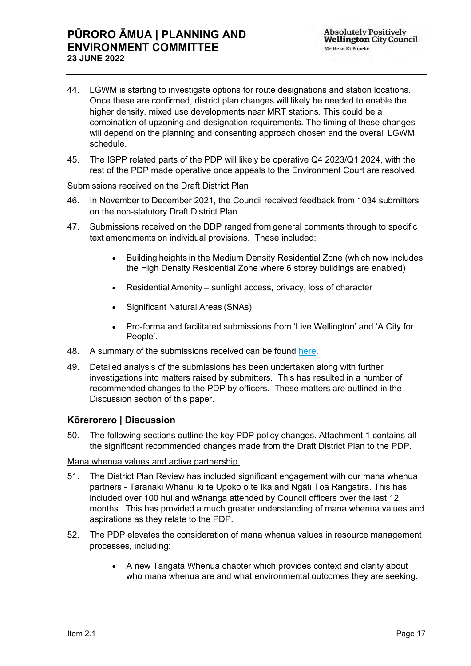## **PŪRORO ĀMUA | PLANNING AND ENVIRONMENT COMMITTEE 23 JUNE 2022**

- 44. LGWM is starting to investigate options for route designations and station locations. Once these are confirmed, district plan changes will likely be needed to enable the higher density, mixed use developments near MRT stations. This could be a combination of upzoning and designation requirements. The timing of these changes will depend on the planning and consenting approach chosen and the overall LGWM schedule.
- 45. The ISPP related parts of the PDP will likely be operative Q4 2023/Q1 2024, with the rest of the PDP made operative once appeals to the Environment Court are resolved.

## Submissions received on the Draft District Plan

- 46. In November to December 2021, the Council received feedback from 1034 submitters on the non-statutory Draft District Plan.
- 47. Submissions received on the DDP ranged from general comments through to specific text amendments on individual provisions. These included:
	- Building heights in the Medium Density Residential Zone (which now includes the High Density Residential Zone where 6 storey buildings are enabled)
	- Residential Amenity – sunlight access, privacy, loss of character
	- Significant Natural Areas (SNAs)
	- Pro-forma and facilitated submissions from 'Live Wellington' and 'A City for People'.
- 48. A summary of the submissions received can be found [here.](https://planningforgrowth.wellington.govt.nz/__data/assets/pdf_file/0015/17106/WCC-DWDP-Consultation-Summary-Report-Global-Research-24-02-22.pdf)
- 49. Detailed analysis of the submissions has been undertaken along with further investigations into matters raised by submitters. This has resulted in a number of recommended changes to the PDP by officers. These matters are outlined in the Discussion section of this paper.

## **Kōrerorero | Discussion**

50. The following sections outline the key PDP policy changes. Attachment 1 contains all the significant recommended changes made from the Draft District Plan to the PDP.

## Mana whenua values and active partnership

- 51. The District Plan Review has included significant engagement with our mana whenua partners - Taranaki Whānui ki te Upoko o te Ika and Ngāti Toa Rangatira. This has included over 100 hui and wānanga attended by Council officers over the last 12 months. This has provided a much greater understanding of mana whenua values and aspirations as they relate to the PDP.
- 52. The PDP elevates the consideration of mana whenua values in resource management processes, including:
	- A new Tangata Whenua chapter which provides context and clarity about who mana whenua are and what environmental outcomes they are seeking.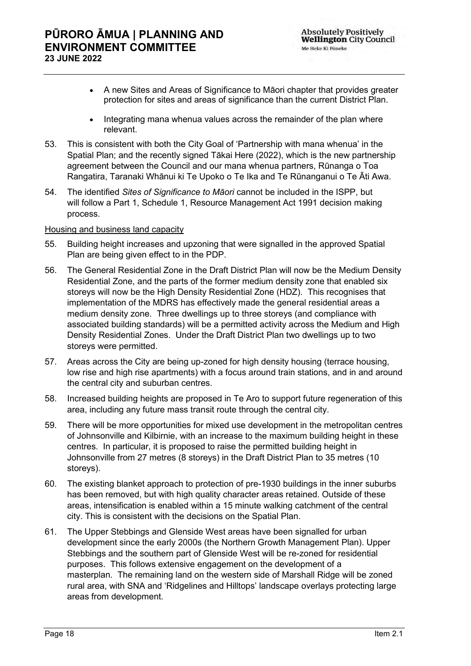- A new Sites and Areas of Significance to Māori chapter that provides greater protection for sites and areas of significance than the current District Plan.
- Integrating mana whenua values across the remainder of the plan where relevant.
- 53. This is consistent with both the City Goal of 'Partnership with mana whenua' in the Spatial Plan; and the recently signed Tākai Here (2022), which is the new partnership agreement between the Council and our mana whenua partners, Rūnanga o Toa Rangatira, Taranaki Whānui ki Te Upoko o Te Ika and Te Rūnanganui o Te Āti Awa.
- 54. The identified *Sites of Significance to Māori* cannot be included in the ISPP, but will follow a Part 1, Schedule 1, Resource Management Act 1991 decision making process.

#### Housing and business land capacity

- 55. Building height increases and upzoning that were signalled in the approved Spatial Plan are being given effect to in the PDP.
- 56. The General Residential Zone in the Draft District Plan will now be the Medium Density Residential Zone, and the parts of the former medium density zone that enabled six storeys will now be the High Density Residential Zone (HDZ). This recognises that implementation of the MDRS has effectively made the general residential areas a medium density zone. Three dwellings up to three storeys (and compliance with associated building standards) will be a permitted activity across the Medium and High Density Residential Zones. Under the Draft District Plan two dwellings up to two storeys were permitted.
- 57. Areas across the City are being up-zoned for high density housing (terrace housing, low rise and high rise apartments) with a focus around train stations, and in and around the central city and suburban centres.
- 58. Increased building heights are proposed in Te Aro to support future regeneration of this area, including any future mass transit route through the central city.
- 59. There will be more opportunities for mixed use development in the metropolitan centres of Johnsonville and Kilbirnie, with an increase to the maximum building height in these centres. In particular, it is proposed to raise the permitted building height in Johnsonville from 27 metres (8 storeys) in the Draft District Plan to 35 metres (10 storeys).
- 60. The existing blanket approach to protection of pre-1930 buildings in the inner suburbs has been removed, but with high quality character areas retained. Outside of these areas, intensification is enabled within a 15 minute walking catchment of the central city. This is consistent with the decisions on the Spatial Plan.
- 61. The Upper Stebbings and Glenside West areas have been signalled for urban development since the early 2000s (the Northern Growth Management Plan). Upper Stebbings and the southern part of Glenside West will be re-zoned for residential purposes. This follows extensive engagement on the development of a masterplan. The remaining land on the western side of Marshall Ridge will be zoned rural area, with SNA and 'Ridgelines and Hilltops' landscape overlays protecting large areas from development.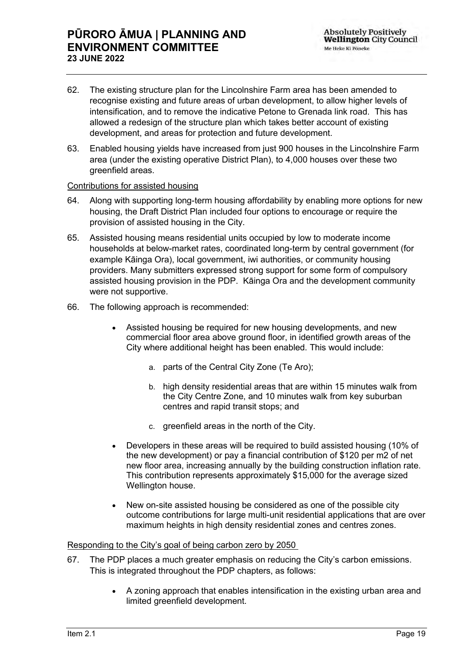- 62. The existing structure plan for the Lincolnshire Farm area has been amended to recognise existing and future areas of urban development, to allow higher levels of intensification, and to remove the indicative Petone to Grenada link road. This has allowed a redesign of the structure plan which takes better account of existing development, and areas for protection and future development.
- 63. Enabled housing yields have increased from just 900 houses in the Lincolnshire Farm area (under the existing operative District Plan), to 4,000 houses over these two greenfield areas.

## Contributions for assisted housing

- 64. Along with supporting long-term housing affordability by enabling more options for new housing, the Draft District Plan included four options to encourage or require the provision of assisted housing in the City.
- 65. Assisted housing means residential units occupied by low to moderate income households at below-market rates, coordinated long-term by central government (for example Kāinga Ora), local government, iwi authorities, or community housing providers. Many submitters expressed strong support for some form of compulsory assisted housing provision in the PDP. Kāinga Ora and the development community were not supportive.
- 66. The following approach is recommended:
	- Assisted housing be required for new housing developments, and new commercial floor area above ground floor, in identified growth areas of the City where additional height has been enabled. This would include:
		- a. parts of the Central City Zone (Te Aro);
		- b. high density residential areas that are within 15 minutes walk from the City Centre Zone, and 10 minutes walk from key suburban centres and rapid transit stops; and
		- c. greenfield areas in the north of the City.
	- Developers in these areas will be required to build assisted housing (10% of the new development) or pay a financial contribution of \$120 per m2 of net new floor area, increasing annually by the building construction inflation rate. This contribution represents approximately \$15,000 for the average sized Wellington house.
	- New on-site assisted housing be considered as one of the possible city outcome contributions for large multi-unit residential applications that are over maximum heights in high density residential zones and centres zones.

## Responding to the City's goal of being carbon zero by 2050

- 67. The PDP places a much greater emphasis on reducing the City's carbon emissions. This is integrated throughout the PDP chapters, as follows:
	- A zoning approach that enables intensification in the existing urban area and limited greenfield development.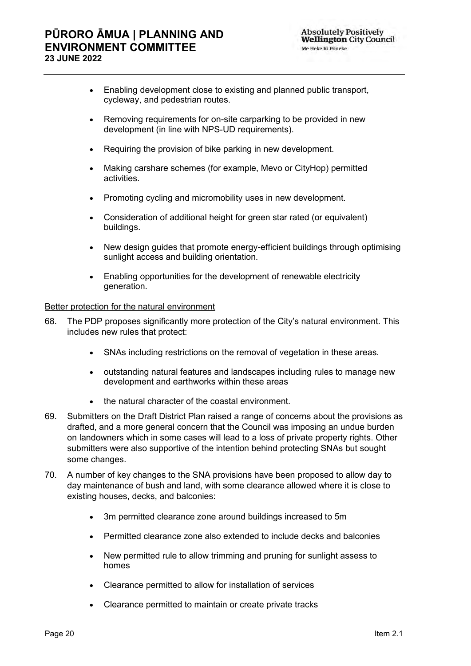## **PŪRORO ĀMUA | PLANNING AND ENVIRONMENT COMMITTEE 23 JUNE 2022**

- Enabling development close to existing and planned public transport, cycleway, and pedestrian routes.
- Removing requirements for on-site carparking to be provided in new development (in line with NPS-UD requirements).
- Requiring the provision of bike parking in new development.
- Making carshare schemes (for example, Mevo or CityHop) permitted activities.
- Promoting cycling and micromobility uses in new development.
- Consideration of additional height for green star rated (or equivalent) buildings.
- New design guides that promote energy-efficient buildings through optimising sunlight access and building orientation.
- Enabling opportunities for the development of renewable electricity generation.

## Better protection for the natural environment

- 68. The PDP proposes significantly more protection of the City's natural environment. This includes new rules that protect:
	- SNAs including restrictions on the removal of vegetation in these areas.
	- outstanding natural features and landscapes including rules to manage new development and earthworks within these areas
	- the natural character of the coastal environment.
- 69. Submitters on the Draft District Plan raised a range of concerns about the provisions as drafted, and a more general concern that the Council was imposing an undue burden on landowners which in some cases will lead to a loss of private property rights. Other submitters were also supportive of the intention behind protecting SNAs but sought some changes.
- 70. A number of key changes to the SNA provisions have been proposed to allow day to day maintenance of bush and land, with some clearance allowed where it is close to existing houses, decks, and balconies:
	- 3m permitted clearance zone around buildings increased to 5m
	- Permitted clearance zone also extended to include decks and balconies
	- New permitted rule to allow trimming and pruning for sunlight assess to homes
	- Clearance permitted to allow for installation of services
	- Clearance permitted to maintain or create private tracks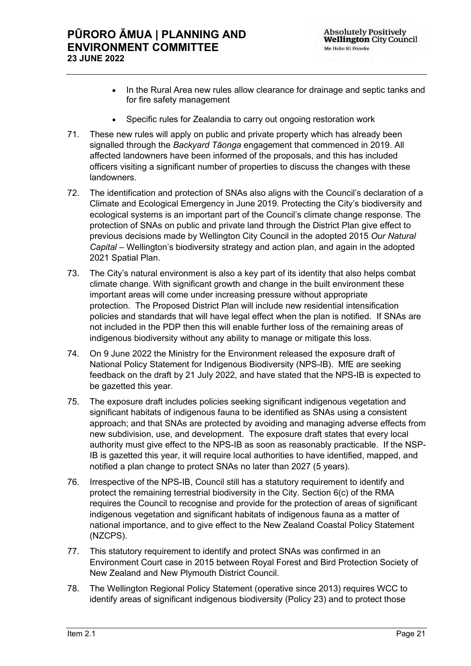- In the Rural Area new rules allow clearance for drainage and septic tanks and for fire safety management
- Specific rules for Zealandia to carry out ongoing restoration work
- 71. These new rules will apply on public and private property which has already been signalled through the *[Backyard Tāonga](https://aus01.safelinks.protection.outlook.com/?url=https%3A%2F%2Fplanningforgrowth.wellington.govt.nz%2Fabout%2Fbackyard-taonga&data=05%7C01%7CJohn.McSweeney%40wcc.govt.nz%7Cb2235294191849a4fce408da4a6e5a16%7Cf187ad074f704d719a80dfb0191578ae%7C0%7C0%7C637904135058285065%7CUnknown%7CTWFpbGZsb3d8eyJWIjoiMC4wLjAwMDAiLCJQIjoiV2luMzIiLCJBTiI6Ik1haWwiLCJXVCI6Mn0%3D%7C3000%7C%7C%7C&sdata=Kv6yFb6IXxBSf5AEfcrm22KR0QbQMfflIlWvUuTcN1s%3D&reserved=0)* engagement that commenced in 2019. All affected landowners have been informed of the proposals, and this has included officers visiting a significant number of properties to discuss the changes with these landowners.
- 72. The identification and protection of SNAs also aligns with the Council's declaration of a Climate and Ecological Emergency in June 2019. Protecting the City's biodiversity and ecological systems is an important part of the Council's climate change response. The protection of SNAs on public and private land through the District Plan give effect to previous decisions made by Wellington City Council in the adopted 2015 *Our Natural Capital* – Wellington's biodiversity strategy and action plan, and again in the adopted 2021 Spatial Plan.
- 73. The City's natural environment is also a key part of its identity that also helps combat climate change. With significant growth and change in the built environment these important areas will come under increasing pressure without appropriate protection. The Proposed District Plan will include new residential intensification policies and standards that will have legal effect when the plan is notified. If SNAs are not included in the PDP then this will enable further loss of the remaining areas of indigenous biodiversity without any ability to manage or mitigate this loss.
- 74. On 9 June 2022 the Ministry for the Environment released the exposure draft of National Policy Statement for Indigenous Biodiversity (NPS-IB). MfE are seeking feedback on the draft by 21 July 2022, and have stated that the NPS-IB is expected to be gazetted this year.
- 75. The exposure draft includes policies seeking significant indigenous vegetation and significant habitats of indigenous fauna to be identified as SNAs using a consistent approach; and that SNAs are protected by avoiding and managing adverse effects from new subdivision, use, and development. The exposure draft states that every local authority must give effect to the NPS-IB as soon as reasonably practicable. If the NSP-IB is gazetted this year, it will require local authorities to have identified, mapped, and notified a plan change to protect SNAs no later than 2027 (5 years).
- 76. Irrespective of the NPS-IB, Council still has a statutory requirement to identify and protect the remaining terrestrial biodiversity in the City. Section 6(c) of the RMA requires the Council to recognise and provide for the protection of areas of significant indigenous vegetation and significant habitats of indigenous fauna as a matter of national importance, and to give effect to the New Zealand Coastal Policy Statement (NZCPS).
- 77. This statutory requirement to identify and protect SNAs was confirmed in an Environment Court case in 2015 between Royal Forest and Bird Protection Society of New Zealand and New Plymouth District Council.
- 78. The Wellington Regional Policy Statement (operative since 2013) requires WCC to identify areas of significant indigenous biodiversity (Policy 23) and to protect those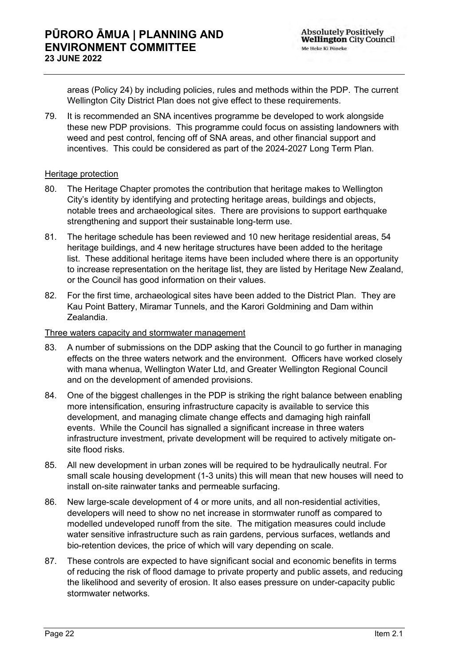areas (Policy 24) by including policies, rules and methods within the PDP.  The current Wellington City District Plan does not give effect to these requirements.

79. It is recommended an SNA incentives programme be developed to work alongside these new PDP provisions. This programme could focus on assisting landowners with weed and pest control, fencing off of SNA areas, and other financial support and incentives. This could be considered as part of the 2024-2027 Long Term Plan.

#### Heritage protection

- 80. The Heritage Chapter promotes the contribution that heritage makes to Wellington City's identity by identifying and protecting heritage areas, buildings and objects, notable trees and archaeological sites. There are provisions to support earthquake strengthening and support their sustainable long-term use.
- 81. The heritage schedule has been reviewed and 10 new heritage residential areas, 54 heritage buildings, and 4 new heritage structures have been added to the heritage list. These additional heritage items have been included where there is an opportunity to increase representation on the heritage list, they are listed by Heritage New Zealand, or the Council has good information on their values.
- 82. For the first time, archaeological sites have been added to the District Plan. They are Kau Point Battery, Miramar Tunnels, and the Karori Goldmining and Dam within Zealandia.

#### Three waters capacity and stormwater management

- 83. A number of submissions on the DDP asking that the Council to go further in managing effects on the three waters network and the environment. Officers have worked closely with mana whenua, Wellington Water Ltd, and Greater Wellington Regional Council and on the development of amended provisions.
- 84. One of the biggest challenges in the PDP is striking the right balance between enabling more intensification, ensuring infrastructure capacity is available to service this development, and managing climate change effects and damaging high rainfall events. While the Council has signalled a significant increase in three waters infrastructure investment, private development will be required to actively mitigate onsite flood risks.
- 85. All new development in urban zones will be required to be hydraulically neutral. For small scale housing development (1-3 units) this will mean that new houses will need to install on-site rainwater tanks and permeable surfacing.
- 86. New large-scale development of 4 or more units, and all non-residential activities, developers will need to show no net increase in stormwater runoff as compared to modelled undeveloped runoff from the site. The mitigation measures could include water sensitive infrastructure such as rain gardens, pervious surfaces, wetlands and bio-retention devices, the price of which will vary depending on scale.
- 87. These controls are expected to have significant social and economic benefits in terms of reducing the risk of flood damage to private property and public assets, and reducing the likelihood and severity of erosion. It also eases pressure on under-capacity public stormwater networks.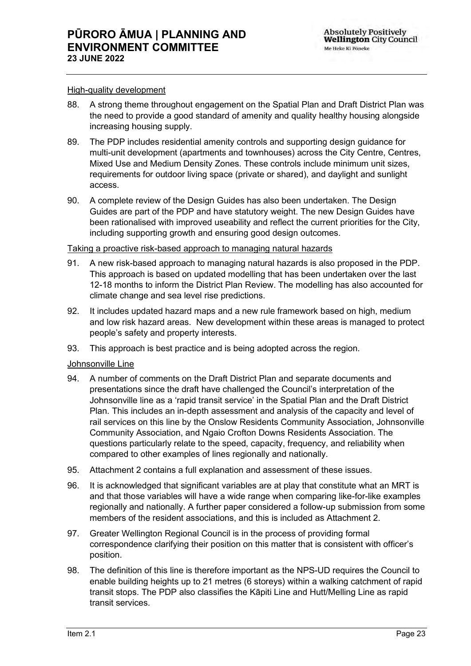#### High-quality development

- 88. A strong theme throughout engagement on the Spatial Plan and Draft District Plan was the need to provide a good standard of amenity and quality healthy housing alongside increasing housing supply.
- 89. The PDP includes residential amenity controls and supporting design guidance for multi-unit development (apartments and townhouses) across the City Centre, Centres, Mixed Use and Medium Density Zones. These controls include minimum unit sizes, requirements for outdoor living space (private or shared), and daylight and sunlight access.
- 90. A complete review of the Design Guides has also been undertaken. The Design Guides are part of the PDP and have statutory weight. The new Design Guides have been rationalised with improved useability and reflect the current priorities for the City, including supporting growth and ensuring good design outcomes.

#### Taking a proactive risk-based approach to managing natural hazards

- 91. A new risk-based approach to managing natural hazards is also proposed in the PDP. This approach is based on updated modelling that has been undertaken over the last 12-18 months to inform the District Plan Review. The modelling has also accounted for climate change and sea level rise predictions.
- 92. It includes updated hazard maps and a new rule framework based on high, medium and low risk hazard areas. New development within these areas is managed to protect people's safety and property interests.
- 93. This approach is best practice and is being adopted across the region.

## Johnsonville Line

- 94. A number of comments on the Draft District Plan and separate documents and presentations since the draft have challenged the Council's interpretation of the Johnsonville line as a 'rapid transit service' in the Spatial Plan and the Draft District Plan. This includes an in-depth assessment and analysis of the capacity and level of rail services on this line by the Onslow Residents Community Association, Johnsonville Community Association, and Ngaio Crofton Downs Residents Association. The questions particularly relate to the speed, capacity, frequency, and reliability when compared to other examples of lines regionally and nationally.
- 95. Attachment 2 contains a full explanation and assessment of these issues.
- 96. It is acknowledged that significant variables are at play that constitute what an MRT is and that those variables will have a wide range when comparing like-for-like examples regionally and nationally. A further paper considered a follow-up submission from some members of the resident associations, and this is included as Attachment 2.
- 97. Greater Wellington Regional Council is in the process of providing formal correspondence clarifying their position on this matter that is consistent with officer's position.
- 98. The definition of this line is therefore important as the NPS-UD requires the Council to enable building heights up to 21 metres (6 storeys) within a walking catchment of rapid transit stops. The PDP also classifies the Kāpiti Line and Hutt/Melling Line as rapid transit services.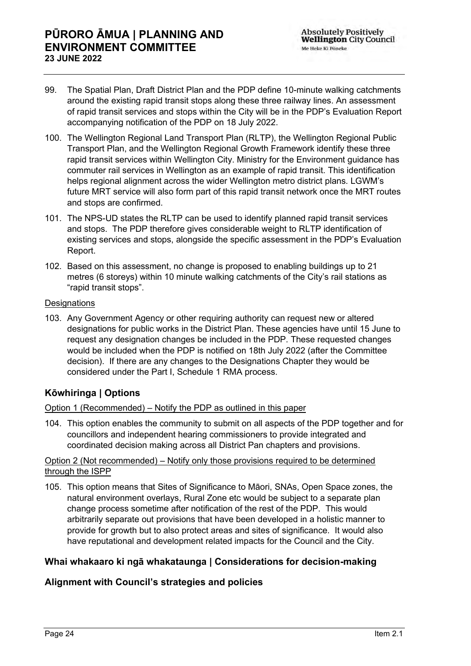- 99. The Spatial Plan, Draft District Plan and the PDP define 10-minute walking catchments around the existing rapid transit stops along these three railway lines. An assessment of rapid transit services and stops within the City will be in the PDP's Evaluation Report accompanying notification of the PDP on 18 July 2022.
- 100. The [Wellington Regional Land Transport Plan \(RLTP\)](https://www.gw.govt.nz/your-region/plans-policies-and-bylaws/plans-and-reports/transport-plans/wellington-regional-land-transport-plan-2021/), the Wellington Regional Public Transport Plan, and the Wellington Regional Growth Framework identify these three rapid transit services within Wellington City. Ministry for the Environment guidance has commuter rail services in Wellington as an example of rapid transit. This identification helps regional alignment across the wider Wellington metro district plans. LGWM's future MRT service will also form part of this rapid transit network once the MRT routes and stops are confirmed.
- 101. The NPS-UD states the RLTP can be used to identify planned rapid transit services and stops. The PDP therefore gives considerable weight to RLTP identification of existing services and stops, alongside the specific assessment in the PDP's Evaluation Report.
- 102. Based on this assessment, no change is proposed to enabling buildings up to 21 metres (6 storeys) within 10 minute walking catchments of the City's rail stations as "rapid transit stops".

## **Designations**

103. Any Government Agency or other requiring authority can request new or altered designations for public works in the District Plan. These agencies have until 15 June to request any designation changes be included in the PDP. These requested changes would be included when the PDP is notified on 18th July 2022 (after the Committee decision). If there are any changes to the Designations Chapter they would be considered under the Part I, Schedule 1 RMA process.

## **Kōwhiringa | Options**

## Option 1 (Recommended) – Notify the PDP as outlined in this paper

104. This option enables the community to submit on all aspects of the PDP together and for councillors and independent hearing commissioners to provide integrated and coordinated decision making across all District Pan chapters and provisions.

## Option 2 (Not recommended) – Notify only those provisions required to be determined through the ISPP

105. This option means that Sites of Significance to Māori, SNAs, Open Space zones, the natural environment overlays, Rural Zone etc would be subject to a separate plan change process sometime after notification of the rest of the PDP. This would arbitrarily separate out provisions that have been developed in a holistic manner to provide for growth but to also protect areas and sites of significance. It would also have reputational and development related impacts for the Council and the City.

## **Whai whakaaro ki ngā whakataunga | Considerations for decision-making**

## **Alignment with Council's strategies and policies**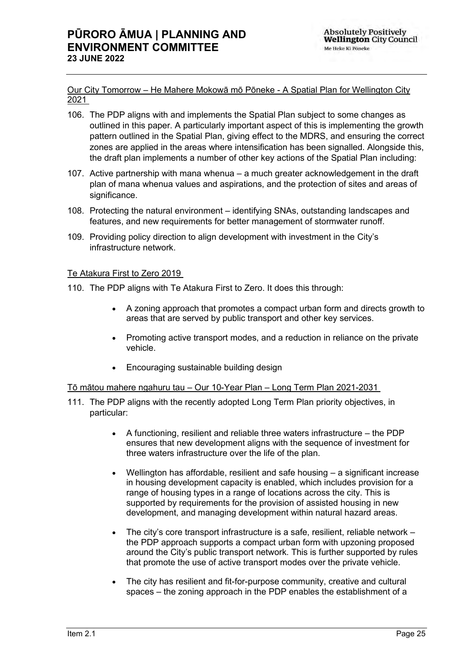Our City Tomorrow *–* He Mahere Mokowā mō Pōneke - A Spatial Plan for Wellington City 2021

- 106. The PDP aligns with and implements the [Spatial Plan](https://experience.arcgis.com/experience/4da3420b9d7c4cc2a00f548ef5e881a1) subject to some changes as outlined in this paper. A particularly important aspect of this is implementing the growth pattern outlined in the Spatial Plan, giving effect to the MDRS, and ensuring the correct zones are applied in the areas where intensification has been signalled. Alongside this, the draft plan implements a number of other key actions of the Spatial Plan including:
- 107. Active partnership with mana whenua a much greater acknowledgement in the draft plan of mana whenua values and aspirations, and the protection of sites and areas of significance.
- 108. Protecting the natural environment identifying SNAs, outstanding landscapes and features, and new requirements for better management of stormwater runoff.
- 109. Providing policy direction to align development with investment in the City's infrastructure network.

## Te Atakura First to Zero 2019

- 110. The PDP aligns with [Te Atakura First to Zero.](https://wellington.govt.nz/-/media/your-council/meetings/council/2019/06/te-atakura-final.pdf) It does this through:
	- A zoning approach that promotes a compact urban form and directs growth to areas that are served by public transport and other key services.
	- Promoting active transport modes, and a reduction in reliance on the private vehicle.
	- Encouraging sustainable building design

#### Tō mātou mahere ngahuru tau – Our 10-Year Plan – Long Term Plan 2021-2031

- 111. The PDP aligns with the recently adopted [Long Term Plan](https://wellington.govt.nz/your-council/plans-policies-and-bylaws/plans-and-reports/long-term-plan/long-term-plan-2021-31) priority objectives, in particular:
	- A functioning, resilient and reliable three waters infrastructure the PDP ensures that new development aligns with the sequence of investment for three waters infrastructure over the life of the plan.
	- Wellington has affordable, resilient and safe housing  $-$  a significant increase in housing development capacity is enabled, which includes provision for a range of housing types in a range of locations across the city. This is supported by requirements for the provision of assisted housing in new development, and managing development within natural hazard areas.
	- The city's core transport infrastructure is a safe, resilient, reliable network the PDP approach supports a compact urban form with upzoning proposed around the City's public transport network. This is further supported by rules that promote the use of active transport modes over the private vehicle.
	- The city has resilient and fit-for-purpose community, creative and cultural spaces – the zoning approach in the PDP enables the establishment of a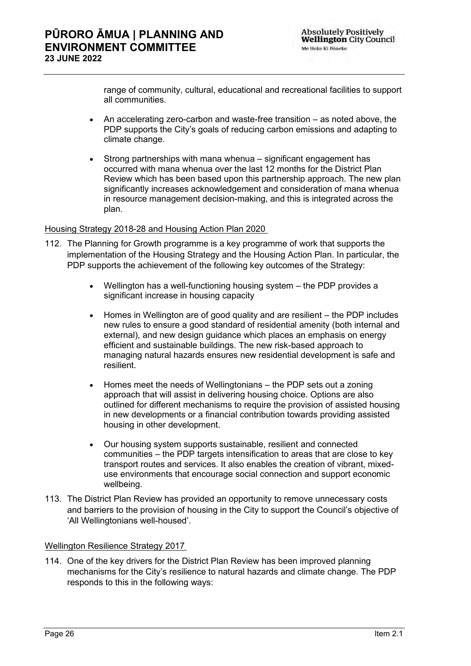range of community, cultural, educational and recreational facilities to support all communities.

- An accelerating zero-carbon and waste-free transition as noted above, the PDP supports the City's goals of reducing carbon emissions and adapting to climate change.
- Strong partnerships with mana whenua significant engagement has occurred with mana whenua over the last 12 months for the District Plan Review which has been based upon this partnership approach. The new plan significantly increases acknowledgement and consideration of mana whenua in resource management decision-making, and this is integrated across the plan.

## Housing Strategy 2018-28 and Housing Action Plan 2020

- 112. The Planning for Growth programme is a key programme of work that supports the implementation of the [Housing Strategy](https://wellington.govt.nz/-/media/your-council/plans-policies-and-bylaws/plans-and-policies/a-to-z/housingstrategy/housing-strategy-j006215.pdf?la=en&hash=ABF9CF417E18B92D64CDC61C00F41FA5EA70189B) and the [Housing Action Plan.](https://wellington.govt.nz/-/media/your-council/plans-policies-and-bylaws/plans-and-policies/a-to-z/housingstrategy/housing_action_plan_2020-22.pdf?la=en&hash=5923E5C1D7643C23EF67016FCDA300D3B8BEC11C) In particular, the PDP supports the achievement of the following key outcomes of the Strategy:
	- Wellington has a well-functioning housing system the PDP provides a significant increase in housing capacity
	- Homes in Wellington are of good quality and are resilient the PDP includes new rules to ensure a good standard of residential amenity (both internal and external), and new design guidance which places an emphasis on energy efficient and sustainable buildings. The new risk-based approach to managing natural hazards ensures new residential development is safe and resilient.
	- Homes meet the needs of Wellingtonians the PDP sets out a zoning approach that will assist in delivering housing choice. Options are also outlined for different mechanisms to require the provision of assisted housing in new developments or a financial contribution towards providing assisted housing in other development.
	- Our housing system supports sustainable, resilient and connected communities – the PDP targets intensification to areas that are close to key transport routes and services. It also enables the creation of vibrant, mixeduse environments that encourage social connection and support economic wellbeing.
- 113. The District Plan Review has provided an opportunity to remove unnecessary costs and barriers to the provision of housing in the City to support the Council's objective of 'All Wellingtonians well-housed'.

#### Wellington Resilience Strategy 2017

114. One of the key drivers for the District Plan Review has been improved planning mechanisms for the City's resilience to natural hazards and climate change. The PDP responds to this in the following ways: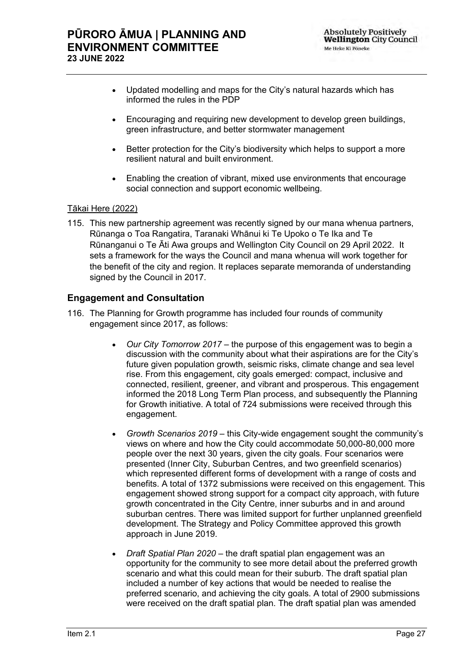- Updated modelling and maps for the City's natural hazards which has informed the rules in the PDP
- Encouraging and requiring new development to develop green buildings, green infrastructure, and better stormwater management
- Better protection for the City's biodiversity which helps to support a more resilient natural and built environment.
- Enabling the creation of vibrant, mixed use environments that encourage social connection and support economic wellbeing.

## Tākai Here (2022)

115. This new partnership agreement was recently signed by our mana whenua partners, Rūnanga o Toa Rangatira, Taranaki Whānui ki Te Upoko o Te Ika and Te Rūnanganui o Te Āti Awa groups and Wellington City Council on 29 April 2022. It sets a framework for the ways the Council and mana whenua will work together for the benefit of the city and region. It replaces separate memoranda of understanding signed by the Council in 2017.

## **Engagement and Consultation**

- 116. The Planning for Growth programme has included four rounds of community engagement since 2017, as follows:
	- *Our City Tomorrow 2017* the purpose of this engagement was to begin a discussion with the community about what their aspirations are for the City's future given population growth, seismic risks, climate change and sea level rise. From this engagement, city goals emerged: compact, inclusive and connected, resilient, greener, and vibrant and prosperous. This engagement informed the 2018 Long Term Plan process, and subsequently the Planning for Growth initiative. A total of 724 submissions were received through this engagement.
	- *Growth Scenarios 2019* this City-wide engagement sought the community's views on where and how the City could accommodate 50,000-80,000 more people over the next 30 years, given the city goals. Four scenarios were presented (Inner City, Suburban Centres, and two greenfield scenarios) which represented different forms of development with a range of costs and benefits. A total of 1372 submissions were received on this engagement. This engagement showed strong support for a compact city approach, with future growth concentrated in the City Centre, inner suburbs and in and around suburban centres. There was limited support for further unplanned greenfield development. The Strategy and Policy Committee approved this growth approach in June 2019.
	- *Draft Spatial Plan 2020* the draft spatial plan engagement was an opportunity for the community to see more detail about the preferred growth scenario and what this could mean for their suburb. The draft spatial plan included a number of key actions that would be needed to realise the preferred scenario, and achieving the city goals. A total of 2900 submissions were received on the draft spatial plan. The draft spatial plan was amended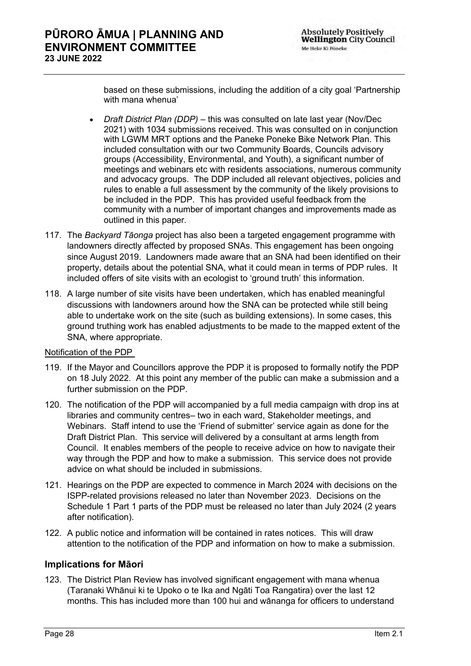based on these submissions, including the addition of a city goal 'Partnership with mana whenua'

- *Draft District Plan (DDP)* this was consulted on late last year (Nov/Dec 2021) with 1034 submissions received. This was consulted on in conjunction with LGWM MRT options and the Paneke Poneke Bike Network Plan. This included consultation with our two Community Boards, Councils advisory groups (Accessibility, Environmental, and Youth), a significant number of meetings and webinars etc with residents associations, numerous community and advocacy groups. The DDP included all relevant objectives, policies and rules to enable a full assessment by the community of the likely provisions to be included in the PDP. This has provided useful feedback from the community with a number of important changes and improvements made as outlined in this paper.
- 117. The *Backyard Tāonga* project has also been a targeted engagement programme with landowners directly affected by proposed SNAs. This engagement has been ongoing since August 2019. Landowners made aware that an SNA had been identified on their property, details about the potential SNA, what it could mean in terms of PDP rules. It included offers of site visits with an ecologist to 'ground truth' this information.
- 118. A large number of site visits have been undertaken, which has enabled meaningful discussions with landowners around how the SNA can be protected while still being able to undertake work on the site (such as building extensions). In some cases, this ground truthing work has enabled adjustments to be made to the mapped extent of the SNA, where appropriate.

## Notification of the PDP

- 119. If the Mayor and Councillors approve the PDP it is proposed to formally notify the PDP on 18 July 2022. At this point any member of the public can make a submission and a further submission on the PDP.
- 120. The notification of the PDP will accompanied by a full media campaign with drop ins at libraries and community centres– two in each ward, Stakeholder meetings, and Webinars. Staff intend to use the 'Friend of submitter' service again as done for the Draft District Plan. This service will delivered by a consultant at arms length from Council. It enables members of the people to receive advice on how to navigate their way through the PDP and how to make a submission. This service does not provide advice on what should be included in submissions.
- 121. Hearings on the PDP are expected to commence in March 2024 with decisions on the ISPP-related provisions released no later than November 2023. Decisions on the Schedule 1 Part 1 parts of the PDP must be released no later than July 2024 (2 years after notification).
- 122. A public notice and information will be contained in rates notices. This will draw attention to the notification of the PDP and information on how to make a submission.

## **Implications for Māori**

123. The District Plan Review has involved significant engagement with mana whenua (Taranaki Whānui ki te Upoko o te Ika and Ngāti Toa Rangatira) over the last 12 months. This has included more than 100 hui and wānanga for officers to understand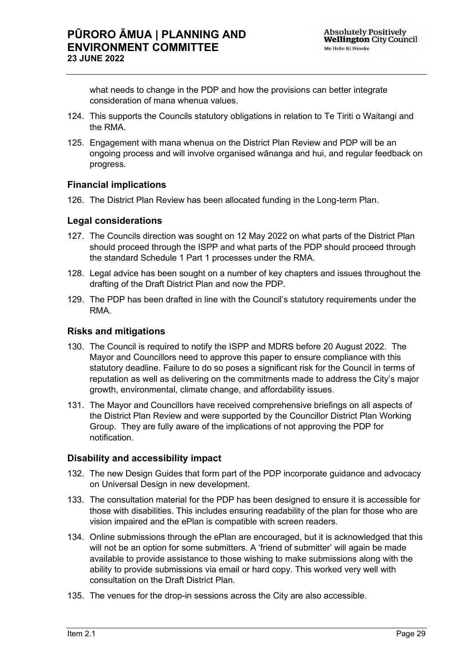what needs to change in the PDP and how the provisions can better integrate consideration of mana whenua values.

- 124. This supports the Councils statutory obligations in relation to Te Tiriti o Waitangi and the RMA.
- 125. Engagement with mana whenua on the District Plan Review and PDP will be an ongoing process and will involve organised wānanga and hui, and regular feedback on progress.

## **Financial implications**

126. The District Plan Review has been allocated funding in the Long-term Plan.

## **Legal considerations**

- 127. The Councils direction was sought on 12 May 2022 on what parts of the District Plan should proceed through the ISPP and what parts of the PDP should proceed through the standard Schedule 1 Part 1 processes under the RMA.
- 128. Legal advice has been sought on a number of key chapters and issues throughout the drafting of the Draft District Plan and now the PDP.
- 129. The PDP has been drafted in line with the Council's statutory requirements under the RMA.

## **Risks and mitigations**

- 130. The Council is required to notify the ISPP and MDRS before 20 August 2022. The Mayor and Councillors need to approve this paper to ensure compliance with this statutory deadline. Failure to do so poses a significant risk for the Council in terms of reputation as well as delivering on the commitments made to address the City's major growth, environmental, climate change, and affordability issues.
- 131. The Mayor and Councillors have received comprehensive briefings on all aspects of the District Plan Review and were supported by the Councillor District Plan Working Group. They are fully aware of the implications of not approving the PDP for notification.

## **Disability and accessibility impact**

- 132. The new Design Guides that form part of the PDP incorporate guidance and advocacy on Universal Design in new development.
- 133. The consultation material for the PDP has been designed to ensure it is accessible for those with disabilities. This includes ensuring readability of the plan for those who are vision impaired and the ePlan is compatible with screen readers.
- 134. Online submissions through the ePlan are encouraged, but it is acknowledged that this will not be an option for some submitters. A 'friend of submitter' will again be made available to provide assistance to those wishing to make submissions along with the ability to provide submissions via email or hard copy. This worked very well with consultation on the Draft District Plan.
- 135. The venues for the drop-in sessions across the City are also accessible.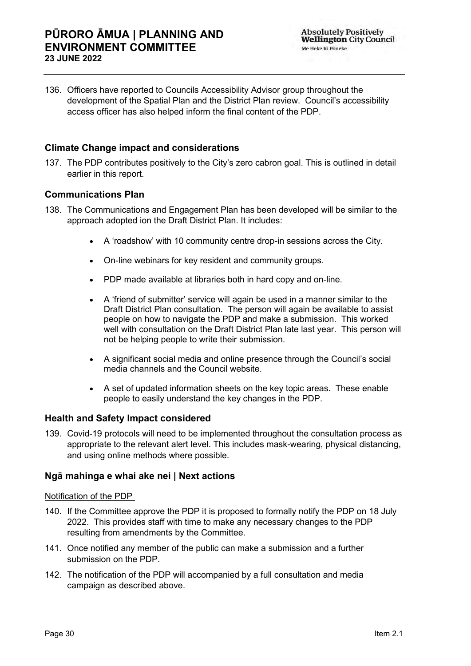136. Officers have reported to Councils Accessibility Advisor group throughout the development of the Spatial Plan and the District Plan review. Council's accessibility access officer has also helped inform the final content of the PDP.

## **Climate Change impact and considerations**

137. The PDP contributes positively to the City's zero cabron goal. This is outlined in detail earlier in this report.

## **Communications Plan**

- 138. The Communications and Engagement Plan has been developed will be similar to the approach adopted ion the Draft District Plan. It includes:
	- A 'roadshow' with 10 community centre drop-in sessions across the City.
	- On-line webinars for key resident and community groups.
	- PDP made available at libraries both in hard copy and on-line.
	- A 'friend of submitter' service will again be used in a manner similar to the Draft District Plan consultation. The person will again be available to assist people on how to navigate the PDP and make a submission. This worked well with consultation on the Draft District Plan late last year. This person will not be helping people to write their submission.
	- A significant social media and online presence through the Council's social media channels and the Council website.
	- A set of updated information sheets on the key topic areas. These enable people to easily understand the key changes in the PDP.

## **Health and Safety Impact considered**

139. Covid-19 protocols will need to be implemented throughout the consultation process as appropriate to the relevant alert level. This includes mask-wearing, physical distancing, and using online methods where possible.

## **Ngā mahinga e whai ake nei | Next actions**

## Notification of the PDP

- 140. If the Committee approve the PDP it is proposed to formally notify the PDP on 18 July 2022. This provides staff with time to make any necessary changes to the PDP resulting from amendments by the Committee.
- 141. Once notified any member of the public can make a submission and a further submission on the PDP.
- 142. The notification of the PDP will accompanied by a full consultation and media campaign as described above.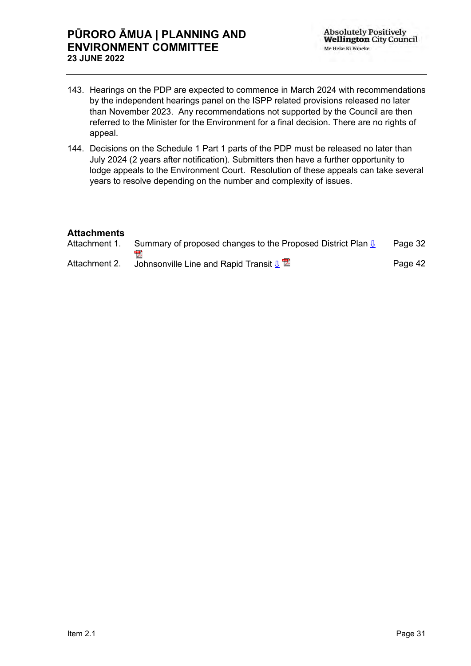- 143. Hearings on the PDP are expected to commence in March 2024 with recommendations by the independent hearings panel on the ISPP related provisions released no later than November 2023. Any recommendations not supported by the Council are then referred to the Minister for the Environment for a final decision. There are no rights of appeal.
- 144. Decisions on the Schedule 1 Part 1 parts of the PDP must be released no later than July 2024 (2 years after notification). Submitters then have a further opportunity to lodge appeals to the Environment Court. Resolution of these appeals can take several years to resolve depending on the number and complexity of issues.

## **Attachments**

| Attachment 1. | Summary of proposed changes to the Proposed District Plan $\sqrt{\theta}$ | Page 32 |
|---------------|---------------------------------------------------------------------------|---------|
| Attachment 2. | Johnsonville Line and Rapid Transit $\sqrt[n]{\mathbb{Z}}$                | Page 42 |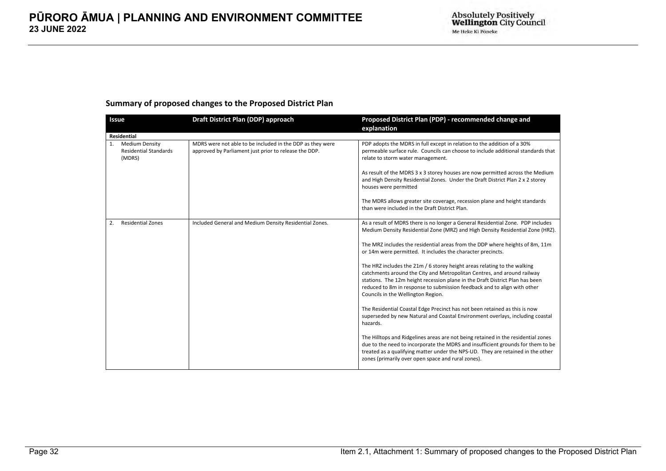#### **Summary of proposed changes to the Proposed District Plan**

<span id="page-31-0"></span>

| <b>Issue</b>                                                          | Draft District Plan (DDP) approach                                                                                 | Proposed District Plan (PDP) - recommended change and<br>explanation                                                                                                                                                                                                                                                                                                                                                                                                                                                                                                                                                                                                                                                                                                                                                                                                                                                                                                                                                                                                                                                                                                  |
|-----------------------------------------------------------------------|--------------------------------------------------------------------------------------------------------------------|-----------------------------------------------------------------------------------------------------------------------------------------------------------------------------------------------------------------------------------------------------------------------------------------------------------------------------------------------------------------------------------------------------------------------------------------------------------------------------------------------------------------------------------------------------------------------------------------------------------------------------------------------------------------------------------------------------------------------------------------------------------------------------------------------------------------------------------------------------------------------------------------------------------------------------------------------------------------------------------------------------------------------------------------------------------------------------------------------------------------------------------------------------------------------|
| <b>Residential</b>                                                    |                                                                                                                    |                                                                                                                                                                                                                                                                                                                                                                                                                                                                                                                                                                                                                                                                                                                                                                                                                                                                                                                                                                                                                                                                                                                                                                       |
| <b>Medium Density</b><br>1.<br><b>Residential Standards</b><br>(MDRS) | MDRS were not able to be included in the DDP as they were<br>approved by Parliament just prior to release the DDP. | PDP adopts the MDRS in full except in relation to the addition of a 30%<br>permeable surface rule. Councils can choose to include additional standards that<br>relate to storm water management.<br>As result of the MDRS 3 x 3 storey houses are now permitted across the Medium<br>and High Density Residential Zones. Under the Draft District Plan 2 x 2 storey<br>houses were permitted<br>The MDRS allows greater site coverage, recession plane and height standards<br>than were included in the Draft District Plan.                                                                                                                                                                                                                                                                                                                                                                                                                                                                                                                                                                                                                                         |
| <b>Residential Zones</b><br>2.                                        | Included General and Medium Density Residential Zones.                                                             | As a result of MDRS there is no longer a General Residential Zone. PDP includes<br>Medium Density Residential Zone (MRZ) and High Density Residential Zone (HRZ).<br>The MRZ includes the residential areas from the DDP where heights of 8m, 11m<br>or 14m were permitted. It includes the character precincts.<br>The HRZ includes the 21m / 6 storey height areas relating to the walking<br>catchments around the City and Metropolitan Centres, and around railway<br>stations. The 12m height recession plane in the Draft District Plan has been<br>reduced to 8m in response to submission feedback and to align with other<br>Councils in the Wellington Region.<br>The Residential Coastal Edge Precinct has not been retained as this is now<br>superseded by new Natural and Coastal Environment overlays, including coastal<br>hazards.<br>The Hilltops and Ridgelines areas are not being retained in the residential zones<br>due to the need to incorporate the MDRS and insufficient grounds for them to be<br>treated as a qualifying matter under the NPS-UD. They are retained in the other<br>zones (primarily over open space and rural zones). |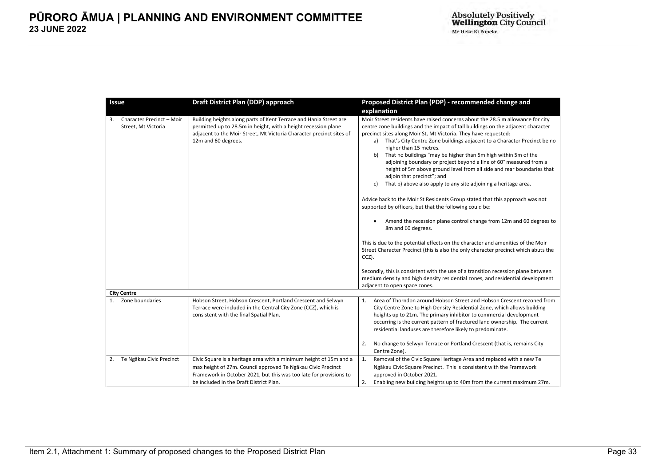| <b>Issue</b>                                           | Draft District Plan (DDP) approach                                                                                                                                                                                                                  | Proposed District Plan (PDP) - recommended change and                                                                                                                                                                                                                                                                                                                                                                                                                                                                                                                                                                                                                                                                                                                                                                                                                                                                                                                                                                                                                                                                                                                                                                                                                                   |  |
|--------------------------------------------------------|-----------------------------------------------------------------------------------------------------------------------------------------------------------------------------------------------------------------------------------------------------|-----------------------------------------------------------------------------------------------------------------------------------------------------------------------------------------------------------------------------------------------------------------------------------------------------------------------------------------------------------------------------------------------------------------------------------------------------------------------------------------------------------------------------------------------------------------------------------------------------------------------------------------------------------------------------------------------------------------------------------------------------------------------------------------------------------------------------------------------------------------------------------------------------------------------------------------------------------------------------------------------------------------------------------------------------------------------------------------------------------------------------------------------------------------------------------------------------------------------------------------------------------------------------------------|--|
|                                                        |                                                                                                                                                                                                                                                     | explanation                                                                                                                                                                                                                                                                                                                                                                                                                                                                                                                                                                                                                                                                                                                                                                                                                                                                                                                                                                                                                                                                                                                                                                                                                                                                             |  |
| Character Precinct - Moir<br>3.<br>Street, Mt Victoria | Building heights along parts of Kent Terrace and Hania Street are<br>permitted up to 28.5m in height, with a height recession plane<br>adjacent to the Moir Street, Mt Victoria Character precinct sites of<br>12m and 60 degrees.                  | Moir Street residents have raised concerns about the 28.5 m allowance for city<br>centre zone buildings and the impact of tall buildings on the adjacent character<br>precinct sites along Moir St, Mt Victoria. They have requested:<br>That's City Centre Zone buildings adjacent to a Character Precinct be no<br>a)<br>higher than 15 metres.<br>That no buildings "may be higher than 5m high within 5m of the<br>b)<br>adjoining boundary or project beyond a line of 60° measured from a<br>height of 5m above ground level from all side and rear boundaries that<br>adjoin that precinct"; and<br>That b) above also apply to any site adjoining a heritage area.<br>c)<br>Advice back to the Moir St Residents Group stated that this approach was not<br>supported by officers, but that the following could be:<br>Amend the recession plane control change from 12m and 60 degrees to<br>٠<br>8m and 60 degrees.<br>This is due to the potential effects on the character and amenities of the Moir<br>Street Character Precinct (this is also the only character precinct which abuts the<br>CCZ).<br>Secondly, this is consistent with the use of a transition recession plane between<br>medium density and high density residential zones, and residential development |  |
| <b>City Centre</b>                                     |                                                                                                                                                                                                                                                     | adjacent to open space zones.                                                                                                                                                                                                                                                                                                                                                                                                                                                                                                                                                                                                                                                                                                                                                                                                                                                                                                                                                                                                                                                                                                                                                                                                                                                           |  |
| Zone boundaries<br>1.                                  | Hobson Street, Hobson Crescent, Portland Crescent and Selwyn<br>Terrace were included in the Central City Zone (CCZ), which is<br>consistent with the final Spatial Plan.                                                                           | Area of Thorndon around Hobson Street and Hobson Crescent rezoned from<br>1.<br>City Centre Zone to High Density Residential Zone, which allows building<br>heights up to 21m. The primary inhibitor to commercial development<br>occurring is the current pattern of fractured land ownership. The current<br>residential landuses are therefore likely to predominate.<br>No change to Selwyn Terrace or Portland Crescent (that is, remains City<br>2.<br>Centre Zone).                                                                                                                                                                                                                                                                                                                                                                                                                                                                                                                                                                                                                                                                                                                                                                                                              |  |
| 2. Te Ngākau Civic Precinct                            | Civic Square is a heritage area with a minimum height of 15m and a<br>max height of 27m. Council approved Te Ngakau Civic Precinct<br>Framework in October 2021, but this was too late for provisions to<br>be included in the Draft District Plan. | Removal of the Civic Square Heritage Area and replaced with a new Te<br>1.<br>Ngākau Civic Square Precinct. This is consistent with the Framework<br>approved in October 2021.<br>Enabling new building heights up to 40m from the current maximum 27m.<br>2.                                                                                                                                                                                                                                                                                                                                                                                                                                                                                                                                                                                                                                                                                                                                                                                                                                                                                                                                                                                                                           |  |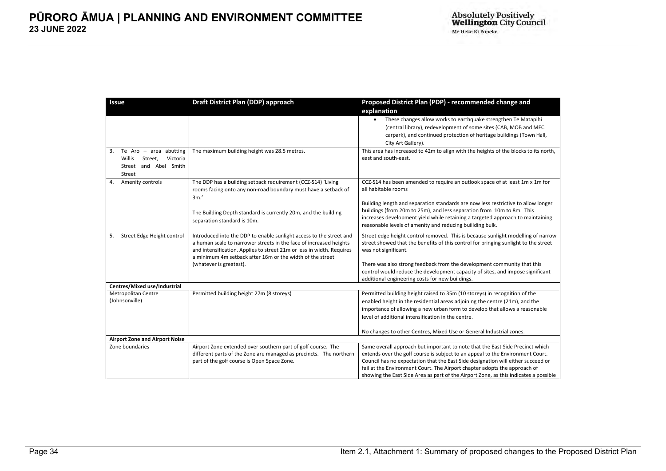| Issue                                                                                              | Draft District Plan (DDP) approach                                                                                                                                                                                                                                              | Proposed District Plan (PDP) - recommended change and<br>explanation<br>These changes allow works to earthquake strengthen Te Matapihi<br>$\bullet$                                                                                                                                                                                                                                                                      |
|----------------------------------------------------------------------------------------------------|---------------------------------------------------------------------------------------------------------------------------------------------------------------------------------------------------------------------------------------------------------------------------------|--------------------------------------------------------------------------------------------------------------------------------------------------------------------------------------------------------------------------------------------------------------------------------------------------------------------------------------------------------------------------------------------------------------------------|
|                                                                                                    |                                                                                                                                                                                                                                                                                 | (central library), redevelopment of some sites (CAB, MOB and MFC<br>carpark), and continued protection of heritage buildings (Town Hall,<br>City Art Gallery).                                                                                                                                                                                                                                                           |
| Te Aro $-$ area abutting<br>3.<br>Willis<br>Street,<br>Victoria<br>Street and Abel Smith<br>Street | The maximum building height was 28.5 metres.                                                                                                                                                                                                                                    | This area has increased to 42m to align with the heights of the blocks to its north,<br>east and south-east.                                                                                                                                                                                                                                                                                                             |
| Amenity controls<br>4.                                                                             | The DDP has a building setback requirement (CCZ-S14) 'Living<br>rooms facing onto any non-road boundary must have a setback of<br>3m'                                                                                                                                           | CCZ-S14 has been amended to require an outlook space of at least 1m x 1m for<br>all habitable rooms                                                                                                                                                                                                                                                                                                                      |
|                                                                                                    | The Building Depth standard is currently 20m, and the building<br>separation standard is 10m.                                                                                                                                                                                   | Building length and separation standards are now less restrictive to allow longer<br>buildings (from 20m to 25m), and less separation from 10m to 8m. This<br>increases development yield while retaining a targeted approach to maintaining<br>reasonable levels of amenity and reducing building bulk.                                                                                                                 |
| Street Edge Height control<br>5.                                                                   | Introduced into the DDP to enable sunlight access to the street and<br>a human scale to narrower streets in the face of increased heights<br>and intensification. Applies to street 21m or less in width. Requires<br>a minimum 4m setback after 16m or the width of the street | Street edge height control removed. This is because sunlight modelling of narrow<br>street showed that the benefits of this control for bringing sunlight to the street<br>was not significant.                                                                                                                                                                                                                          |
|                                                                                                    | (whatever is greatest).                                                                                                                                                                                                                                                         | There was also strong feedback from the development community that this<br>control would reduce the development capacity of sites, and impose significant<br>additional engineering costs for new buildings.                                                                                                                                                                                                             |
| Centres/Mixed use/Industrial                                                                       |                                                                                                                                                                                                                                                                                 |                                                                                                                                                                                                                                                                                                                                                                                                                          |
| <b>Metropolitan Centre</b><br>(Johnsonville)                                                       | Permitted building height 27m (8 storeys)                                                                                                                                                                                                                                       | Permitted building height raised to 35m (10 storeys) in recognition of the<br>enabled height in the residential areas adjoining the centre (21m), and the<br>importance of allowing a new urban form to develop that allows a reasonable<br>level of additional intensification in the centre.                                                                                                                           |
|                                                                                                    |                                                                                                                                                                                                                                                                                 | No changes to other Centres, Mixed Use or General Industrial zones.                                                                                                                                                                                                                                                                                                                                                      |
| <b>Airport Zone and Airport Noise</b>                                                              |                                                                                                                                                                                                                                                                                 |                                                                                                                                                                                                                                                                                                                                                                                                                          |
| Zone boundaries                                                                                    | Airport Zone extended over southern part of golf course. The<br>different parts of the Zone are managed as precincts. The northern<br>part of the golf course is Open Space Zone.                                                                                               | Same overall approach but important to note that the East Side Precinct which<br>extends over the golf course is subject to an appeal to the Environment Court.<br>Council has no expectation that the East Side designation will either succeed or<br>fail at the Environment Court. The Airport chapter adopts the approach of<br>showing the East Side Area as part of the Airport Zone, as this indicates a possible |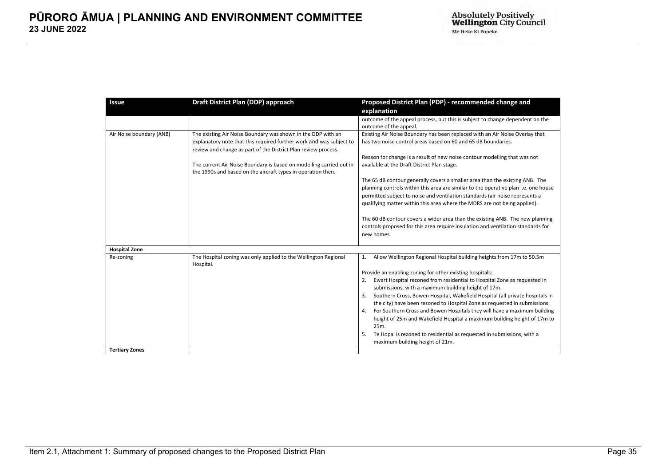| Issue                    | Draft District Plan (DDP) approach                                                                                                  | Proposed District Plan (PDP) - recommended change and                                                                                                             |
|--------------------------|-------------------------------------------------------------------------------------------------------------------------------------|-------------------------------------------------------------------------------------------------------------------------------------------------------------------|
|                          |                                                                                                                                     | explanation                                                                                                                                                       |
|                          |                                                                                                                                     | outcome of the appeal process, but this is subject to change dependent on the<br>outcome of the appeal.                                                           |
| Air Noise boundary (ANB) | The existing Air Noise Boundary was shown in the DDP with an                                                                        | Existing Air Noise Boundary has been replaced with an Air Noise Overlay that                                                                                      |
|                          | explanatory note that this required further work and was subject to                                                                 | has two noise control areas based on 60 and 65 dB boundaries.                                                                                                     |
|                          | review and change as part of the District Plan review process.                                                                      |                                                                                                                                                                   |
|                          |                                                                                                                                     | Reason for change is a result of new noise contour modelling that was not                                                                                         |
|                          | The current Air Noise Boundary is based on modelling carried out in<br>the 1990s and based on the aircraft types in operation then. | available at the Draft District Plan stage.                                                                                                                       |
|                          |                                                                                                                                     | The 65 dB contour generally covers a smaller area than the existing ANB. The                                                                                      |
|                          |                                                                                                                                     | planning controls within this area are similar to the operative plan i.e. one house                                                                               |
|                          |                                                                                                                                     | permitted subject to noise and ventilation standards (air noise represents a                                                                                      |
|                          |                                                                                                                                     | qualifying matter within this area where the MDRS are not being applied).                                                                                         |
|                          |                                                                                                                                     |                                                                                                                                                                   |
|                          |                                                                                                                                     | The 60 dB contour covers a wider area than the existing ANB. The new planning<br>controls proposed for this area require insulation and ventilation standards for |
|                          |                                                                                                                                     | new homes.                                                                                                                                                        |
|                          |                                                                                                                                     |                                                                                                                                                                   |
| <b>Hospital Zone</b>     |                                                                                                                                     |                                                                                                                                                                   |
| Re-zoning                | The Hospital zoning was only applied to the Wellington Regional                                                                     | Allow Wellington Regional Hospital building heights from 17m to 50.5m<br>1.                                                                                       |
|                          | Hospital.                                                                                                                           |                                                                                                                                                                   |
|                          |                                                                                                                                     | Provide an enabling zoning for other existing hospitals:                                                                                                          |
|                          |                                                                                                                                     | Ewart Hospital rezoned from residential to Hospital Zone as requested in                                                                                          |
|                          |                                                                                                                                     | submissions, with a maximum building height of 17m.                                                                                                               |
|                          |                                                                                                                                     | Southern Cross, Bowen Hospital, Wakefield Hospital (all private hospitals in<br>the city) have been rezoned to Hospital Zone as requested in submissions.         |
|                          |                                                                                                                                     | For Southern Cross and Bowen Hospitals they will have a maximum building                                                                                          |
|                          |                                                                                                                                     | height of 25m and Wakefield Hospital a maximum building height of 17m to                                                                                          |
|                          |                                                                                                                                     | 25m.                                                                                                                                                              |
|                          |                                                                                                                                     | Te Hopai is rezoned to residential as requested in submissions, with a<br>5.                                                                                      |
|                          |                                                                                                                                     | maximum building height of 21m.                                                                                                                                   |
| <b>Tertiary Zones</b>    |                                                                                                                                     |                                                                                                                                                                   |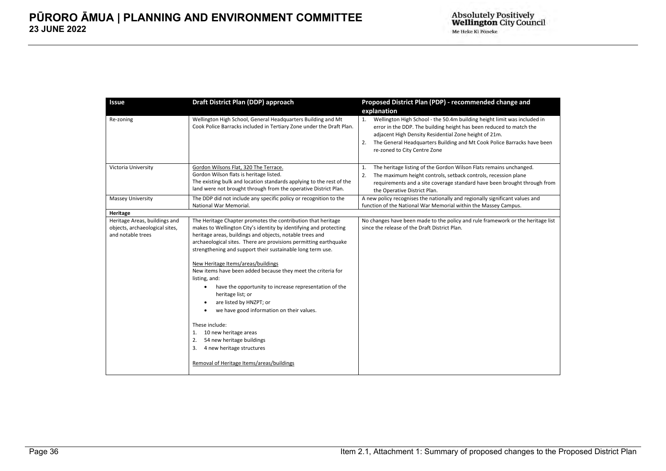| <b>Issue</b>                                                                         | Draft District Plan (DDP) approach                                                                                                                                                                                                                                                                                                                                                                                                                                                                                                                                                                                                                                                                                                                                                                               | Proposed District Plan (PDP) - recommended change and                                                                                                                                                                                                                                                                        |  |
|--------------------------------------------------------------------------------------|------------------------------------------------------------------------------------------------------------------------------------------------------------------------------------------------------------------------------------------------------------------------------------------------------------------------------------------------------------------------------------------------------------------------------------------------------------------------------------------------------------------------------------------------------------------------------------------------------------------------------------------------------------------------------------------------------------------------------------------------------------------------------------------------------------------|------------------------------------------------------------------------------------------------------------------------------------------------------------------------------------------------------------------------------------------------------------------------------------------------------------------------------|--|
|                                                                                      |                                                                                                                                                                                                                                                                                                                                                                                                                                                                                                                                                                                                                                                                                                                                                                                                                  | explanation                                                                                                                                                                                                                                                                                                                  |  |
| Re-zoning                                                                            | Wellington High School, General Headquarters Building and Mt<br>Cook Police Barracks included in Tertiary Zone under the Draft Plan.                                                                                                                                                                                                                                                                                                                                                                                                                                                                                                                                                                                                                                                                             | 1. Wellington High School - the 50.4m building height limit was included in<br>error in the DDP. The building height has been reduced to match the<br>adjacent High Density Residential Zone height of 21m.<br>The General Headquarters Building and Mt Cook Police Barracks have been<br>2.<br>re-zoned to City Centre Zone |  |
| Victoria University                                                                  | Gordon Wilsons Flat, 320 The Terrace.<br>Gordon Wilson flats is heritage listed.<br>The existing bulk and location standards applying to the rest of the<br>land were not brought through from the operative District Plan.                                                                                                                                                                                                                                                                                                                                                                                                                                                                                                                                                                                      | The heritage listing of the Gordon Wilson Flats remains unchanged.<br>1.<br>The maximum height controls, setback controls, recession plane<br>2.<br>requirements and a site coverage standard have been brought through from<br>the Operative District Plan.                                                                 |  |
| Massey University                                                                    | The DDP did not include any specific policy or recognition to the<br>National War Memorial.                                                                                                                                                                                                                                                                                                                                                                                                                                                                                                                                                                                                                                                                                                                      | A new policy recognises the nationally and regionally significant values and<br>function of the National War Memorial within the Massey Campus.                                                                                                                                                                              |  |
| Heritage                                                                             |                                                                                                                                                                                                                                                                                                                                                                                                                                                                                                                                                                                                                                                                                                                                                                                                                  |                                                                                                                                                                                                                                                                                                                              |  |
| Heritage Areas, buildings and<br>objects, archaeological sites,<br>and notable trees | The Heritage Chapter promotes the contribution that heritage<br>makes to Wellington City's identity by identifying and protecting<br>heritage areas, buildings and objects, notable trees and<br>archaeological sites. There are provisions permitting earthquake<br>strengthening and support their sustainable long term use.<br>New Heritage Items/areas/buildings<br>New items have been added because they meet the criteria for<br>listing, and:<br>have the opportunity to increase representation of the<br>$\bullet$<br>heritage list; or<br>are listed by HNZPT; or<br>$\bullet$<br>we have good information on their values.<br>٠<br>These include:<br>10 new heritage areas<br>1.<br>54 new heritage buildings<br>2.<br>4 new heritage structures<br>3.<br>Removal of Heritage Items/areas/buildings | No changes have been made to the policy and rule framework or the heritage list<br>since the release of the Draft District Plan.                                                                                                                                                                                             |  |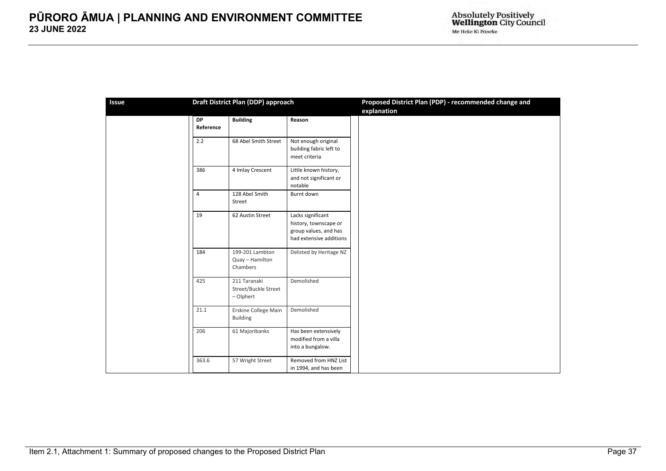| <b>Issue</b> | Draft District Plan (DDP) approach |                                                   |                                                                                                | Proposed District Plan (PDP) - recommended change and<br>explanation |
|--------------|------------------------------------|---------------------------------------------------|------------------------------------------------------------------------------------------------|----------------------------------------------------------------------|
|              | DP<br>Reference                    | <b>Building</b>                                   | Reason                                                                                         |                                                                      |
|              | 2.2                                | 68 Abel Smith Street                              | Not enough original<br>building fabric left to<br>meet criteria                                |                                                                      |
|              | 386                                | 4 Imlay Crescent                                  | Little known history,<br>and not significant or<br>notable                                     |                                                                      |
|              | $\overline{4}$                     | 128 Abel Smith<br>Street                          | Burnt down                                                                                     |                                                                      |
|              | 19                                 | 62 Austin Street                                  | Lacks significant<br>history, townscape or<br>group values, and has<br>had extensive additions |                                                                      |
|              | 184                                | 199-201 Lambton<br>Quay - Hamilton<br>Chambers    | Delisted by Heritage NZ                                                                        |                                                                      |
|              | 425                                | 211 Taranaki<br>Street/Buckle Street<br>- Olphert | Demolished                                                                                     |                                                                      |
|              | 21.1                               | Erskine College Main<br><b>Building</b>           | Demolished                                                                                     |                                                                      |
|              | 206                                | 61 Majoribanks                                    | Has been extensively<br>modified from a villa<br>into a bungalow.                              |                                                                      |
|              | 363.6                              | 57 Wright Street                                  | Removed from HNZ List<br>in 1994, and has been                                                 |                                                                      |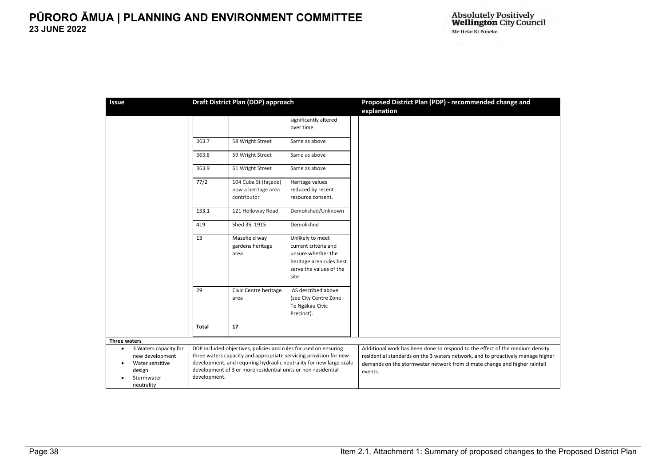| <b>Issue</b>                                                                                                                |              | Draft District Plan (DDP) approach                                                                                               |                                                                                                                                          | Proposed District Plan (PDP) - recommended change and<br>explanation                                                                                                                                                                                    |
|-----------------------------------------------------------------------------------------------------------------------------|--------------|----------------------------------------------------------------------------------------------------------------------------------|------------------------------------------------------------------------------------------------------------------------------------------|---------------------------------------------------------------------------------------------------------------------------------------------------------------------------------------------------------------------------------------------------------|
|                                                                                                                             |              |                                                                                                                                  | significantly altered<br>over time.                                                                                                      |                                                                                                                                                                                                                                                         |
|                                                                                                                             | 363.7        | 58 Wright Street                                                                                                                 | Same as above                                                                                                                            |                                                                                                                                                                                                                                                         |
|                                                                                                                             | 363.8        | 59 Wright Street                                                                                                                 | Same as above                                                                                                                            |                                                                                                                                                                                                                                                         |
|                                                                                                                             | 363.9        | 61 Wright Street                                                                                                                 | Same as above                                                                                                                            |                                                                                                                                                                                                                                                         |
|                                                                                                                             | 77/2         | 104 Cuba St (façade)<br>now a heritage area<br>contributor                                                                       | Heritage values<br>reduced by recent<br>resource consent.                                                                                |                                                                                                                                                                                                                                                         |
|                                                                                                                             | 153.1        | 121 Holloway Road                                                                                                                | Demolished/Unknown                                                                                                                       |                                                                                                                                                                                                                                                         |
|                                                                                                                             | 419          | Shed 35, 1915                                                                                                                    | Demolished                                                                                                                               |                                                                                                                                                                                                                                                         |
|                                                                                                                             | 13           | Masefield way<br>gardens heritage<br>area                                                                                        | Unlikely to meet<br>current criteria and<br>unsure whether the<br>heritage area rules best<br>serve the values of the<br>site            |                                                                                                                                                                                                                                                         |
|                                                                                                                             | 29           | Civic Centre heritage<br>area                                                                                                    | AS described above<br>(see City Centre Zone -<br>Te Ngākau Civic<br>Precinct).                                                           |                                                                                                                                                                                                                                                         |
|                                                                                                                             | Total        | 17                                                                                                                               |                                                                                                                                          |                                                                                                                                                                                                                                                         |
| <b>Three waters</b>                                                                                                         |              |                                                                                                                                  |                                                                                                                                          |                                                                                                                                                                                                                                                         |
| 3 Waters capacity for<br>$\bullet$<br>new development<br>Water sensitive<br>$\bullet$<br>design<br>Stormwater<br>neutrality | development. | DDP included objectives, policies and rules focused on ensuring<br>development of 3 or more residential units or non-residential | three waters capacity and appropriate servicing provision for new<br>development, and requiring hydraulic neutrality for new large-scale | Additional work has been done to respond to the effect of the medium density<br>residential standards on the 3 waters network, and to proactively manage higher<br>demands on the stormwater network from climate change and higher rainfall<br>events. |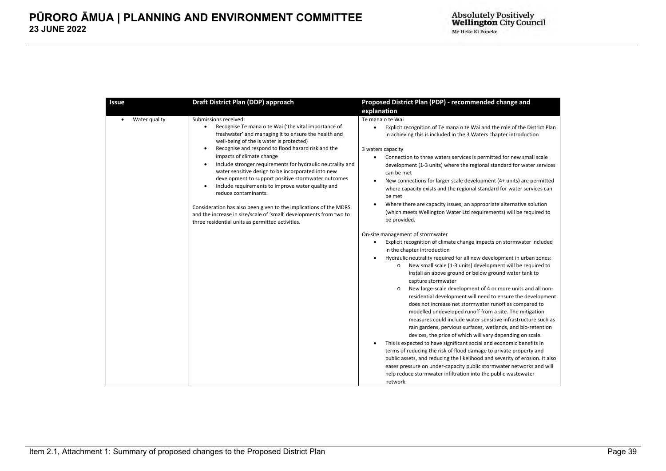| <b>Issue</b>  | Draft District Plan (DDP) approach                                                                                                                                                                                                                                                                                                                                                                                                                                                                                                                                                                                                                                                                                                                         | Proposed District Plan (PDP) - recommended change and                                                                                                                                                                                                                                                                                                                                                                                                                                                                                                                                                                                                                                                                                                                                                                                                                                                                                                                                                                                                                         |
|---------------|------------------------------------------------------------------------------------------------------------------------------------------------------------------------------------------------------------------------------------------------------------------------------------------------------------------------------------------------------------------------------------------------------------------------------------------------------------------------------------------------------------------------------------------------------------------------------------------------------------------------------------------------------------------------------------------------------------------------------------------------------------|-------------------------------------------------------------------------------------------------------------------------------------------------------------------------------------------------------------------------------------------------------------------------------------------------------------------------------------------------------------------------------------------------------------------------------------------------------------------------------------------------------------------------------------------------------------------------------------------------------------------------------------------------------------------------------------------------------------------------------------------------------------------------------------------------------------------------------------------------------------------------------------------------------------------------------------------------------------------------------------------------------------------------------------------------------------------------------|
|               |                                                                                                                                                                                                                                                                                                                                                                                                                                                                                                                                                                                                                                                                                                                                                            | explanation                                                                                                                                                                                                                                                                                                                                                                                                                                                                                                                                                                                                                                                                                                                                                                                                                                                                                                                                                                                                                                                                   |
| Water quality | Submissions received:<br>Recognise Te mana o te Wai ('the vital importance of<br>$\bullet$<br>freshwater' and managing it to ensure the health and<br>well-being of the is water is protected)<br>Recognise and respond to flood hazard risk and the<br>٠<br>impacts of climate change<br>Include stronger requirements for hydraulic neutrality and<br>$\bullet$<br>water sensitive design to be incorporated into new<br>development to support positive stormwater outcomes<br>Include requirements to improve water quality and<br>reduce contaminants.<br>Consideration has also been given to the implications of the MDRS<br>and the increase in size/scale of 'small' developments from two to<br>three residential units as permitted activities. | Te mana o te Wai<br>Explicit recognition of Te mana o te Wai and the role of the District Plan<br>$\bullet$<br>in achieving this is included in the 3 Waters chapter introduction<br>3 waters capacity<br>Connection to three waters services is permitted for new small scale<br>$\bullet$<br>development (1-3 units) where the regional standard for water services<br>can be met<br>New connections for larger scale development (4+ units) are permitted<br>$\bullet$<br>where capacity exists and the regional standard for water services can<br>be met<br>Where there are capacity issues, an appropriate alternative solution<br>(which meets Wellington Water Ltd requirements) will be required to<br>be provided.<br>On-site management of stormwater<br>Explicit recognition of climate change impacts on stormwater included<br>$\bullet$<br>in the chapter introduction                                                                                                                                                                                         |
|               |                                                                                                                                                                                                                                                                                                                                                                                                                                                                                                                                                                                                                                                                                                                                                            | Hydraulic neutrality required for all new development in urban zones:<br>New small scale (1-3 units) development will be required to<br>$\circ$<br>install an above ground or below ground water tank to<br>capture stormwater<br>New large-scale development of 4 or more units and all non-<br>$\circ$<br>residential development will need to ensure the development<br>does not increase net stormwater runoff as compared to<br>modelled undeveloped runoff from a site. The mitigation<br>measures could include water sensitive infrastructure such as<br>rain gardens, pervious surfaces, wetlands, and bio-retention<br>devices, the price of which will vary depending on scale.<br>This is expected to have significant social and economic benefits in<br>terms of reducing the risk of flood damage to private property and<br>public assets, and reducing the likelihood and severity of erosion. It also<br>eases pressure on under-capacity public stormwater networks and will<br>help reduce stormwater infiltration into the public wastewater<br>network. |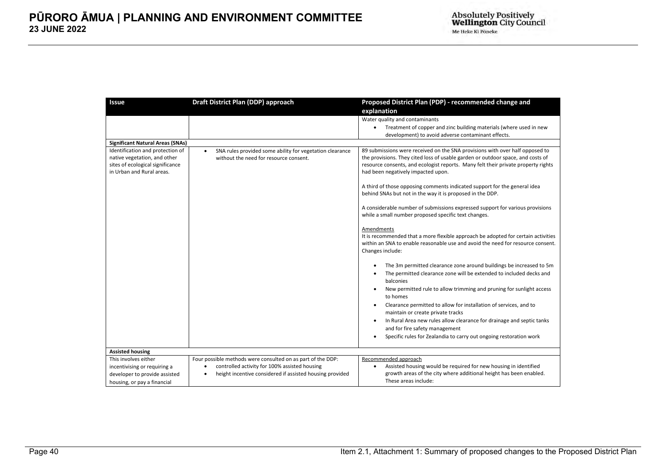| Issue                                                                                         | Draft District Plan (DDP) approach                                    | Proposed District Plan (PDP) - recommended change and                                                                                                                                                                                                                                                                                                                                                                                                                                                                                                            |
|-----------------------------------------------------------------------------------------------|-----------------------------------------------------------------------|------------------------------------------------------------------------------------------------------------------------------------------------------------------------------------------------------------------------------------------------------------------------------------------------------------------------------------------------------------------------------------------------------------------------------------------------------------------------------------------------------------------------------------------------------------------|
|                                                                                               |                                                                       | explanation                                                                                                                                                                                                                                                                                                                                                                                                                                                                                                                                                      |
|                                                                                               |                                                                       | Water quality and contaminants                                                                                                                                                                                                                                                                                                                                                                                                                                                                                                                                   |
|                                                                                               |                                                                       | Treatment of copper and zinc building materials (where used in new<br>$\bullet$                                                                                                                                                                                                                                                                                                                                                                                                                                                                                  |
|                                                                                               |                                                                       | development) to avoid adverse contaminant effects.                                                                                                                                                                                                                                                                                                                                                                                                                                                                                                               |
| <b>Significant Natural Areas (SNAs)</b>                                                       |                                                                       |                                                                                                                                                                                                                                                                                                                                                                                                                                                                                                                                                                  |
| Identification and protection of                                                              | SNA rules provided some ability for vegetation clearance<br>$\bullet$ | 89 submissions were received on the SNA provisions with over half opposed to                                                                                                                                                                                                                                                                                                                                                                                                                                                                                     |
| native vegetation, and other<br>sites of ecological significance<br>in Urban and Rural areas. | without the need for resource consent.                                | the provisions. They cited loss of usable garden or outdoor space, and costs of<br>resource consents, and ecologist reports. Many felt their private property rights<br>had been negatively impacted upon.                                                                                                                                                                                                                                                                                                                                                       |
|                                                                                               |                                                                       |                                                                                                                                                                                                                                                                                                                                                                                                                                                                                                                                                                  |
|                                                                                               |                                                                       | A third of those opposing comments indicated support for the general idea<br>behind SNAs but not in the way it is proposed in the DDP.                                                                                                                                                                                                                                                                                                                                                                                                                           |
|                                                                                               |                                                                       | A considerable number of submissions expressed support for various provisions<br>while a small number proposed specific text changes.                                                                                                                                                                                                                                                                                                                                                                                                                            |
|                                                                                               |                                                                       | Amendments<br>It is recommended that a more flexible approach be adopted for certain activities<br>within an SNA to enable reasonable use and avoid the need for resource consent.<br>Changes include:                                                                                                                                                                                                                                                                                                                                                           |
|                                                                                               |                                                                       | The 3m permitted clearance zone around buildings be increased to 5m<br>The permitted clearance zone will be extended to included decks and<br>$\bullet$<br>balconies<br>New permitted rule to allow trimming and pruning for sunlight access<br>to homes<br>Clearance permitted to allow for installation of services, and to<br>$\bullet$<br>maintain or create private tracks<br>In Rural Area new rules allow clearance for drainage and septic tanks<br>and for fire safety management<br>Specific rules for Zealandia to carry out ongoing restoration work |
| <b>Assisted housing</b>                                                                       |                                                                       |                                                                                                                                                                                                                                                                                                                                                                                                                                                                                                                                                                  |
| This involves either                                                                          | Four possible methods were consulted on as part of the DDP:           | Recommended approach                                                                                                                                                                                                                                                                                                                                                                                                                                                                                                                                             |
| incentivising or requiring a                                                                  | controlled activity for 100% assisted housing<br>$\bullet$            | Assisted housing would be required for new housing in identified<br>$\bullet$                                                                                                                                                                                                                                                                                                                                                                                                                                                                                    |
| developer to provide assisted                                                                 | height incentive considered if assisted housing provided              | growth areas of the city where additional height has been enabled.                                                                                                                                                                                                                                                                                                                                                                                                                                                                                               |
| housing, or pay a financial                                                                   |                                                                       | These areas include:                                                                                                                                                                                                                                                                                                                                                                                                                                                                                                                                             |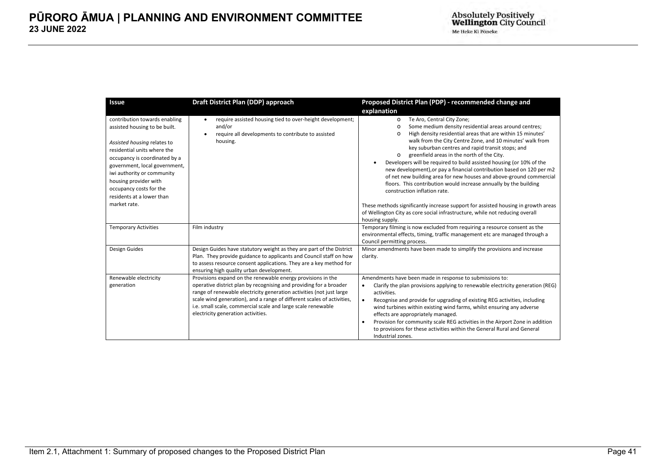| <b>Issue</b>                                                                                                                                                                                                                                                                                                                  | Draft District Plan (DDP) approach                                                                                                                                                                                                                                                                                                                                                        | Proposed District Plan (PDP) - recommended change and<br>explanation                                                                                                                                                                                                                                                                                                                                                                                                                                                                                                                                                                                                                                                                                                                                                                                                                |
|-------------------------------------------------------------------------------------------------------------------------------------------------------------------------------------------------------------------------------------------------------------------------------------------------------------------------------|-------------------------------------------------------------------------------------------------------------------------------------------------------------------------------------------------------------------------------------------------------------------------------------------------------------------------------------------------------------------------------------------|-------------------------------------------------------------------------------------------------------------------------------------------------------------------------------------------------------------------------------------------------------------------------------------------------------------------------------------------------------------------------------------------------------------------------------------------------------------------------------------------------------------------------------------------------------------------------------------------------------------------------------------------------------------------------------------------------------------------------------------------------------------------------------------------------------------------------------------------------------------------------------------|
| contribution towards enabling<br>assisted housing to be built.<br>Assisted housing relates to<br>residential units where the<br>occupancy is coordinated by a<br>government, local government,<br>iwi authority or community<br>housing provider with<br>occupancy costs for the<br>residents at a lower than<br>market rate. | require assisted housing tied to over-height development;<br>$\bullet$<br>and/or<br>require all developments to contribute to assisted<br>$\bullet$<br>housing.                                                                                                                                                                                                                           | Te Aro, Central City Zone;<br>$\circ$<br>Some medium density residential areas around centres;<br>$\circ$<br>High density residential areas that are within 15 minutes'<br>$\Omega$<br>walk from the City Centre Zone, and 10 minutes' walk from<br>key suburban centres and rapid transit stops; and<br>greenfield areas in the north of the City.<br>$\circ$<br>Developers will be required to build assisted housing (or 10% of the<br>new development), or pay a financial contribution based on 120 per m2<br>of net new building area for new houses and above-ground commercial<br>floors. This contribution would increase annually by the building<br>construction inflation rate.<br>These methods significantly increase support for assisted housing in growth areas<br>of Wellington City as core social infrastructure, while not reducing overall<br>housing supply. |
| <b>Temporary Activities</b>                                                                                                                                                                                                                                                                                                   | Film industry                                                                                                                                                                                                                                                                                                                                                                             | Temporary filming is now excluded from requiring a resource consent as the<br>environmental effects, timing, traffic management etc are managed through a<br>Council permitting process.                                                                                                                                                                                                                                                                                                                                                                                                                                                                                                                                                                                                                                                                                            |
| Design Guides                                                                                                                                                                                                                                                                                                                 | Design Guides have statutory weight as they are part of the District<br>Plan. They provide guidance to applicants and Council staff on how<br>to assess resource consent applications. They are a key method for<br>ensuring high quality urban development.                                                                                                                              | Minor amendments have been made to simplify the provisions and increase<br>clarity.                                                                                                                                                                                                                                                                                                                                                                                                                                                                                                                                                                                                                                                                                                                                                                                                 |
| Renewable electricity<br>generation                                                                                                                                                                                                                                                                                           | Provisions expand on the renewable energy provisions in the<br>operative district plan by recognising and providing for a broader<br>range of renewable electricity generation activities (not just large<br>scale wind generation), and a range of different scales of activities,<br>i.e. small scale, commercial scale and large scale renewable<br>electricity generation activities. | Amendments have been made in response to submissions to:<br>Clarify the plan provisions applying to renewable electricity generation (REG)<br>٠<br>activities.<br>Recognise and provide for upgrading of existing REG activities, including<br>$\bullet$<br>wind turbines within existing wind farms, whilst ensuring any adverse<br>effects are appropriately managed.<br>Provision for community scale REG activities in the Airport Zone in addition<br>$\bullet$<br>to provisions for these activities within the General Rural and General<br>Industrial zones.                                                                                                                                                                                                                                                                                                                |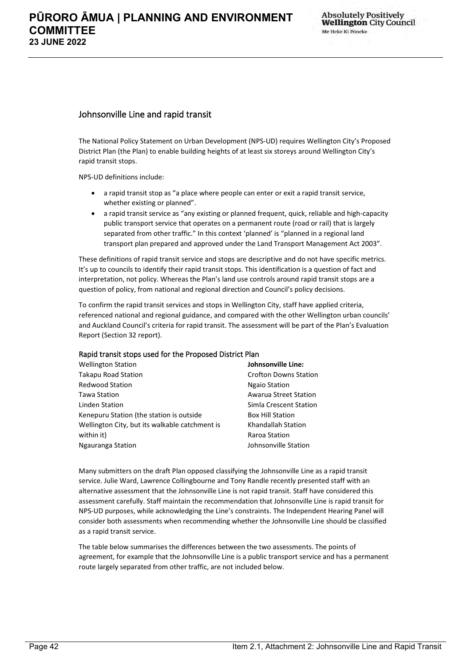## <span id="page-41-0"></span>Johnsonville Line and rapid transit

The National Policy Statement on Urban Development (NPS-UD) requires Wellington City's Proposed District Plan (the Plan) to enable building heights of at least six storeys around Wellington City's rapid transit stops.

NPS-UD definitions include:

- a rapid transit stop as "a place where people can enter or exit a rapid transit service, whether existing or planned".
- a rapid transit service as "any existing or planned frequent, quick, reliable and high-capacity public transport service that operates on a permanent route (road or rail) that is largely separated from other traffic." In this context 'planned' is "planned in a regional land transport plan prepared and approved under the Land Transport Management Act 2003".

These definitions of rapid transit service and stops are descriptive and do not have specific metrics. It's up to councils to identify their rapid transit stops. This identification is a question of fact and interpretation, not policy. Whereas the Plan's land use controls around rapid transit stops are a question of policy, from national and regional direction and Council's policy decisions.

To confirm the rapid transit services and stops in Wellington City, staff have applied criteria, referenced national and regional guidance, and compared with the other Wellington urban councils' and Auckland Council's criteria for rapid transit. The assessment will be part of the Plan's Evaluation Report (Section 32 report).

#### Rapid transit stops used for the Proposed District Plan

| <b>Wellington Station</b>                      | Johnsonville Line:           |
|------------------------------------------------|------------------------------|
| <b>Takapu Road Station</b>                     | <b>Crofton Downs Station</b> |
| <b>Redwood Station</b>                         | <b>Ngaio Station</b>         |
| Tawa Station                                   | <b>Awarua Street Station</b> |
| Linden Station                                 | Simla Crescent Station       |
| Kenepuru Station (the station is outside       | <b>Box Hill Station</b>      |
| Wellington City, but its walkable catchment is | Khandallah Station           |
| within it)                                     | Raroa Station                |
| Ngauranga Station                              | Johnsonville Station         |

Many submitters on the draft Plan opposed classifying the Johnsonville Line as a rapid transit service. Julie Ward, Lawrence Collingbourne and Tony Randle recently presented staff with an alternative assessment that the Johnsonville Line is not rapid transit. Staff have considered this assessment carefully. Staff maintain the recommendation that Johnsonville Line is rapid transit for NPS-UD purposes, while acknowledging the Line's constraints. The Independent Hearing Panel will consider both assessments when recommending whether the Johnsonville Line should be classified as a rapid transit service.

The table below summarises the differences between the two assessments. The points of agreement, for example that the Johnsonville Line is a public transport service and has a permanent route largely separated from other traffic, are not included below.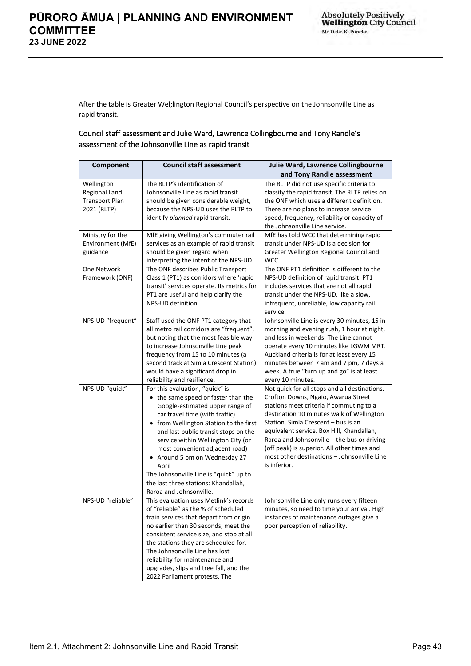After the table is Greater Wel;lington Regional Council's perspective on the Johnsonville Line as rapid transit.

#### Council staff assessment and Julie Ward, Lawrence Collingbourne and Tony Randle's assessment of the Johnsonville Line as rapid transit

| Component             | <b>Council staff assessment</b>            | Julie Ward, Lawrence Collingbourne             |
|-----------------------|--------------------------------------------|------------------------------------------------|
|                       |                                            | and Tony Randle assessment                     |
| Wellington            | The RLTP's identification of               | The RLTP did not use specific criteria to      |
| <b>Regional Land</b>  | Johnsonville Line as rapid transit         | classify the rapid transit. The RLTP relies on |
| <b>Transport Plan</b> | should be given considerable weight,       | the ONF which uses a different definition.     |
| 2021 (RLTP)           | because the NPS-UD uses the RLTP to        | There are no plans to increase service         |
|                       | identify planned rapid transit.            | speed, frequency, reliability or capacity of   |
|                       |                                            | the Johnsonville Line service.                 |
| Ministry for the      | MfE giving Wellington's commuter rail      | MfE has told WCC that determining rapid        |
| Environment (MfE)     | services as an example of rapid transit    | transit under NPS-UD is a decision for         |
| guidance              | should be given regard when                | Greater Wellington Regional Council and        |
|                       | interpreting the intent of the NPS-UD.     | WCC.                                           |
| One Network           | The ONF describes Public Transport         | The ONF PT1 definition is different to the     |
| Framework (ONF)       | Class 1 (PT1) as corridors where 'rapid    | NPS-UD definition of rapid transit. PT1        |
|                       | transit' services operate. Its metrics for | includes services that are not all rapid       |
|                       | PT1 are useful and help clarify the        | transit under the NPS-UD, like a slow,         |
|                       | NPS-UD definition.                         | infrequent, unreliable, low capacity rail      |
|                       |                                            | service.                                       |
| NPS-UD "frequent"     | Staff used the ONF PT1 category that       | Johnsonville Line is every 30 minutes, 15 in   |
|                       | all metro rail corridors are "frequent",   | morning and evening rush, 1 hour at night,     |
|                       | but noting that the most feasible way      | and less in weekends. The Line cannot          |
|                       | to increase Johnsonville Line peak         | operate every 10 minutes like LGWM MRT.        |
|                       | frequency from 15 to 10 minutes (a         | Auckland criteria is for at least every 15     |
|                       | second track at Simla Crescent Station)    | minutes between 7 am and 7 pm, 7 days a        |
|                       | would have a significant drop in           | week. A true "turn up and go" is at least      |
|                       | reliability and resilience.                | every 10 minutes.                              |
| NPS-UD "quick"        | For this evaluation, "quick" is:           | Not quick for all stops and all destinations.  |
|                       | • the same speed or faster than the        | Crofton Downs, Ngaio, Awarua Street            |
|                       | Google-estimated upper range of            | stations meet criteria if commuting to a       |
|                       | car travel time (with traffic)             | destination 10 minutes walk of Wellington      |
|                       | • from Wellington Station to the first     | Station. Simla Crescent - bus is an            |
|                       | and last public transit stops on the       | equivalent service. Box Hill, Khandallah,      |
|                       | service within Wellington City (or         | Raroa and Johnsonville - the bus or driving    |
|                       | most convenient adjacent road)             | (off peak) is superior. All other times and    |
|                       | • Around 5 pm on Wednesday 27              | most other destinations - Johnsonville Line    |
|                       | April                                      | is inferior.                                   |
|                       | The Johnsonville Line is "quick" up to     |                                                |
|                       | the last three stations: Khandallah,       |                                                |
|                       | Raroa and Johnsonville.                    |                                                |
| NPS-UD "reliable"     | This evaluation uses Metlink's records     | Johnsonville Line only runs every fifteen      |
|                       | of "reliable" as the % of scheduled        | minutes, so need to time your arrival. High    |
|                       | train services that depart from origin     | instances of maintenance outages give a        |
|                       | no earlier than 30 seconds, meet the       | poor perception of reliability.                |
|                       | consistent service size, and stop at all   |                                                |
|                       | the stations they are scheduled for.       |                                                |
|                       | The Johnsonville Line has lost             |                                                |
|                       | reliability for maintenance and            |                                                |
|                       | upgrades, slips and tree fall, and the     |                                                |
|                       | 2022 Parliament protests. The              |                                                |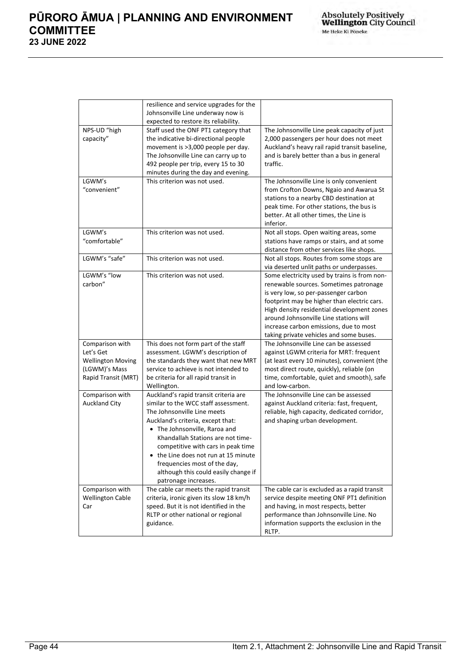|                          | resilience and service upgrades for the |                                               |
|--------------------------|-----------------------------------------|-----------------------------------------------|
|                          | Johnsonville Line underway now is       |                                               |
|                          | expected to restore its reliability.    |                                               |
| NPS-UD "high             | Staff used the ONF PT1 category that    | The Johnsonville Line peak capacity of just   |
| capacity"                | the indicative bi-directional people    | 2,000 passengers per hour does not meet       |
|                          | movement is >3,000 people per day.      | Auckland's heavy rail rapid transit baseline, |
|                          | The Johsonville Line can carry up to    | and is barely better than a bus in general    |
|                          | 492 people per trip, every 15 to 30     | traffic.                                      |
|                          | minutes during the day and evening.     |                                               |
| LGWM's                   | This criterion was not used.            | The Johnsonville Line is only convenient      |
| "convenient"             |                                         | from Crofton Downs, Ngaio and Awarua St       |
|                          |                                         | stations to a nearby CBD destination at       |
|                          |                                         | peak time. For other stations, the bus is     |
|                          |                                         | better. At all other times, the Line is       |
|                          |                                         | inferior.                                     |
| LGWM's                   | This criterion was not used.            | Not all stops. Open waiting areas, some       |
| "comfortable"            |                                         | stations have ramps or stairs, and at some    |
|                          |                                         | distance from other services like shops.      |
| LGWM's "safe"            | This criterion was not used.            | Not all stops. Routes from some stops are     |
|                          |                                         | via deserted unlit paths or underpasses.      |
| LGWM's "low              | This criterion was not used.            | Some electricity used by trains is from non-  |
| carbon"                  |                                         | renewable sources. Sometimes patronage        |
|                          |                                         | is very low, so per-passenger carbon          |
|                          |                                         | footprint may be higher than electric cars.   |
|                          |                                         | High density residential development zones    |
|                          |                                         | around Johnsonville Line stations will        |
|                          |                                         | increase carbon emissions, due to most        |
|                          |                                         | taking private vehicles and some buses.       |
| Comparison with          | This does not form part of the staff    | The Johnsonville Line can be assessed         |
| Let's Get                | assessment. LGWM's description of       | against LGWM criteria for MRT: frequent       |
| <b>Wellington Moving</b> | the standards they want that new MRT    | (at least every 10 minutes), convenient (the  |
| (LGWM)'s Mass            | service to achieve is not intended to   | most direct route, quickly), reliable (on     |
| Rapid Transit (MRT)      | be criteria for all rapid transit in    | time, comfortable, quiet and smooth), safe    |
|                          | Wellington.                             | and low-carbon.                               |
| Comparison with          | Auckland's rapid transit criteria are   | The Johnsonville Line can be assessed         |
| <b>Auckland City</b>     | similar to the WCC staff assessment.    | against Auckland criteria: fast, frequent,    |
|                          | The Johnsonville Line meets             | reliable, high capacity, dedicated corridor,  |
|                          | Auckland's criteria, except that:       | and shaping urban development.                |
|                          | • The Johnsonville, Raroa and           |                                               |
|                          | Khandallah Stations are not time-       |                                               |
|                          | competitive with cars in peak time      |                                               |
|                          | the Line does not run at 15 minute      |                                               |
|                          | frequencies most of the day,            |                                               |
|                          | although this could easily change if    |                                               |
|                          | patronage increases.                    |                                               |
| Comparison with          | The cable car meets the rapid transit   | The cable car is excluded as a rapid transit  |
| <b>Wellington Cable</b>  | criteria, ironic given its slow 18 km/h | service despite meeting ONF PT1 definition    |
| Car                      | speed. But it is not identified in the  | and having, in most respects, better          |
|                          | RLTP or other national or regional      | performance than Johnsonville Line. No        |
|                          | guidance.                               | information supports the exclusion in the     |
|                          |                                         | RLTP.                                         |